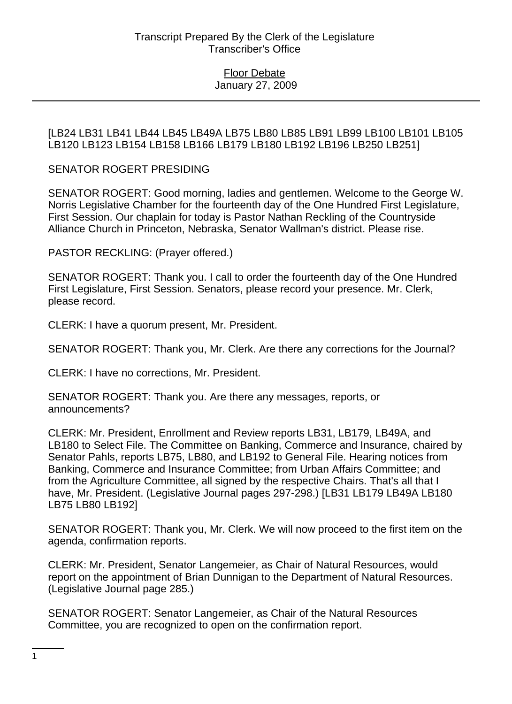[LB24 LB31 LB41 LB44 LB45 LB49A LB75 LB80 LB85 LB91 LB99 LB100 LB101 LB105 LB120 LB123 LB154 LB158 LB166 LB179 LB180 LB192 LB196 LB250 LB251]

SENATOR ROGERT PRESIDING

SENATOR ROGERT: Good morning, ladies and gentlemen. Welcome to the George W. Norris Legislative Chamber for the fourteenth day of the One Hundred First Legislature, First Session. Our chaplain for today is Pastor Nathan Reckling of the Countryside Alliance Church in Princeton, Nebraska, Senator Wallman's district. Please rise.

PASTOR RECKLING: (Prayer offered.)

SENATOR ROGERT: Thank you. I call to order the fourteenth day of the One Hundred First Legislature, First Session. Senators, please record your presence. Mr. Clerk, please record.

CLERK: I have a quorum present, Mr. President.

SENATOR ROGERT: Thank you, Mr. Clerk. Are there any corrections for the Journal?

CLERK: I have no corrections, Mr. President.

SENATOR ROGERT: Thank you. Are there any messages, reports, or announcements?

CLERK: Mr. President, Enrollment and Review reports LB31, LB179, LB49A, and LB180 to Select File. The Committee on Banking, Commerce and Insurance, chaired by Senator Pahls, reports LB75, LB80, and LB192 to General File. Hearing notices from Banking, Commerce and Insurance Committee; from Urban Affairs Committee; and from the Agriculture Committee, all signed by the respective Chairs. That's all that I have, Mr. President. (Legislative Journal pages 297-298.) [LB31 LB179 LB49A LB180 LB75 LB80 LB192]

SENATOR ROGERT: Thank you, Mr. Clerk. We will now proceed to the first item on the agenda, confirmation reports.

CLERK: Mr. President, Senator Langemeier, as Chair of Natural Resources, would report on the appointment of Brian Dunnigan to the Department of Natural Resources. (Legislative Journal page 285.)

SENATOR ROGERT: Senator Langemeier, as Chair of the Natural Resources Committee, you are recognized to open on the confirmation report.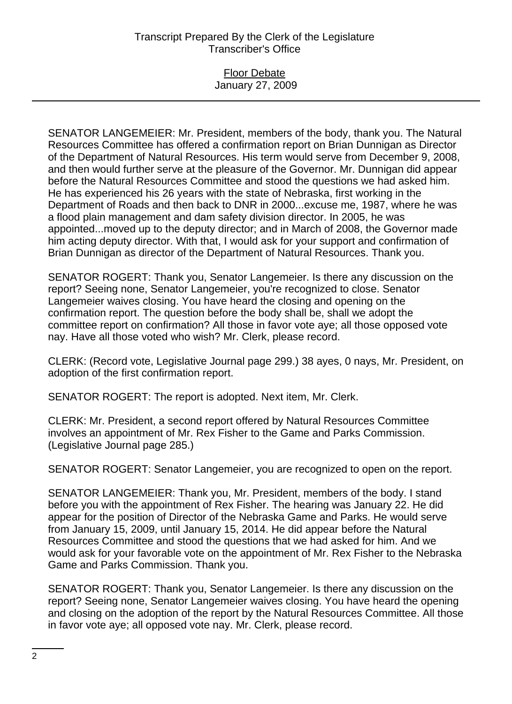#### Floor Debate January 27, 2009

SENATOR LANGEMEIER: Mr. President, members of the body, thank you. The Natural Resources Committee has offered a confirmation report on Brian Dunnigan as Director of the Department of Natural Resources. His term would serve from December 9, 2008, and then would further serve at the pleasure of the Governor. Mr. Dunnigan did appear before the Natural Resources Committee and stood the questions we had asked him. He has experienced his 26 years with the state of Nebraska, first working in the Department of Roads and then back to DNR in 2000...excuse me, 1987, where he was a flood plain management and dam safety division director. In 2005, he was appointed...moved up to the deputy director; and in March of 2008, the Governor made him acting deputy director. With that, I would ask for your support and confirmation of Brian Dunnigan as director of the Department of Natural Resources. Thank you.

SENATOR ROGERT: Thank you, Senator Langemeier. Is there any discussion on the report? Seeing none, Senator Langemeier, you're recognized to close. Senator Langemeier waives closing. You have heard the closing and opening on the confirmation report. The question before the body shall be, shall we adopt the committee report on confirmation? All those in favor vote aye; all those opposed vote nay. Have all those voted who wish? Mr. Clerk, please record.

CLERK: (Record vote, Legislative Journal page 299.) 38 ayes, 0 nays, Mr. President, on adoption of the first confirmation report.

SENATOR ROGERT: The report is adopted. Next item, Mr. Clerk.

CLERK: Mr. President, a second report offered by Natural Resources Committee involves an appointment of Mr. Rex Fisher to the Game and Parks Commission. (Legislative Journal page 285.)

SENATOR ROGERT: Senator Langemeier, you are recognized to open on the report.

SENATOR LANGEMEIER: Thank you, Mr. President, members of the body. I stand before you with the appointment of Rex Fisher. The hearing was January 22. He did appear for the position of Director of the Nebraska Game and Parks. He would serve from January 15, 2009, until January 15, 2014. He did appear before the Natural Resources Committee and stood the questions that we had asked for him. And we would ask for your favorable vote on the appointment of Mr. Rex Fisher to the Nebraska Game and Parks Commission. Thank you.

SENATOR ROGERT: Thank you, Senator Langemeier. Is there any discussion on the report? Seeing none, Senator Langemeier waives closing. You have heard the opening and closing on the adoption of the report by the Natural Resources Committee. All those in favor vote aye; all opposed vote nay. Mr. Clerk, please record.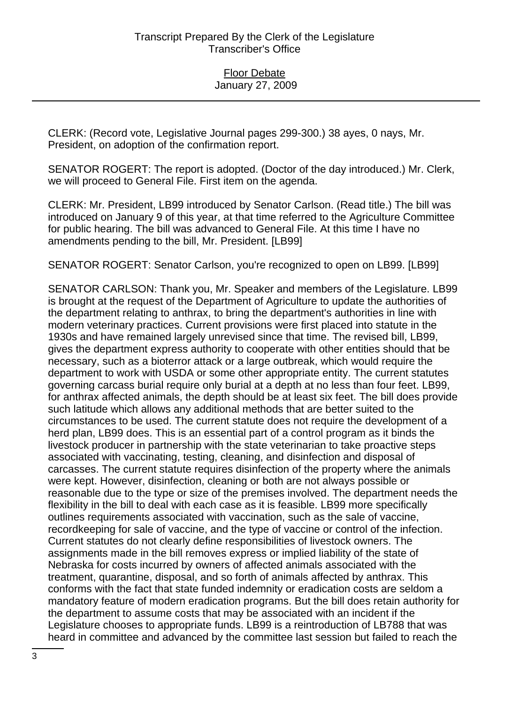CLERK: (Record vote, Legislative Journal pages 299-300.) 38 ayes, 0 nays, Mr. President, on adoption of the confirmation report.

SENATOR ROGERT: The report is adopted. (Doctor of the day introduced.) Mr. Clerk, we will proceed to General File. First item on the agenda.

CLERK: Mr. President, LB99 introduced by Senator Carlson. (Read title.) The bill was introduced on January 9 of this year, at that time referred to the Agriculture Committee for public hearing. The bill was advanced to General File. At this time I have no amendments pending to the bill, Mr. President. [LB99]

SENATOR ROGERT: Senator Carlson, you're recognized to open on LB99. [LB99]

SENATOR CARLSON: Thank you, Mr. Speaker and members of the Legislature. LB99 is brought at the request of the Department of Agriculture to update the authorities of the department relating to anthrax, to bring the department's authorities in line with modern veterinary practices. Current provisions were first placed into statute in the 1930s and have remained largely unrevised since that time. The revised bill, LB99, gives the department express authority to cooperate with other entities should that be necessary, such as a bioterror attack or a large outbreak, which would require the department to work with USDA or some other appropriate entity. The current statutes governing carcass burial require only burial at a depth at no less than four feet. LB99, for anthrax affected animals, the depth should be at least six feet. The bill does provide such latitude which allows any additional methods that are better suited to the circumstances to be used. The current statute does not require the development of a herd plan, LB99 does. This is an essential part of a control program as it binds the livestock producer in partnership with the state veterinarian to take proactive steps associated with vaccinating, testing, cleaning, and disinfection and disposal of carcasses. The current statute requires disinfection of the property where the animals were kept. However, disinfection, cleaning or both are not always possible or reasonable due to the type or size of the premises involved. The department needs the flexibility in the bill to deal with each case as it is feasible. LB99 more specifically outlines requirements associated with vaccination, such as the sale of vaccine, recordkeeping for sale of vaccine, and the type of vaccine or control of the infection. Current statutes do not clearly define responsibilities of livestock owners. The assignments made in the bill removes express or implied liability of the state of Nebraska for costs incurred by owners of affected animals associated with the treatment, quarantine, disposal, and so forth of animals affected by anthrax. This conforms with the fact that state funded indemnity or eradication costs are seldom a mandatory feature of modern eradication programs. But the bill does retain authority for the department to assume costs that may be associated with an incident if the Legislature chooses to appropriate funds. LB99 is a reintroduction of LB788 that was heard in committee and advanced by the committee last session but failed to reach the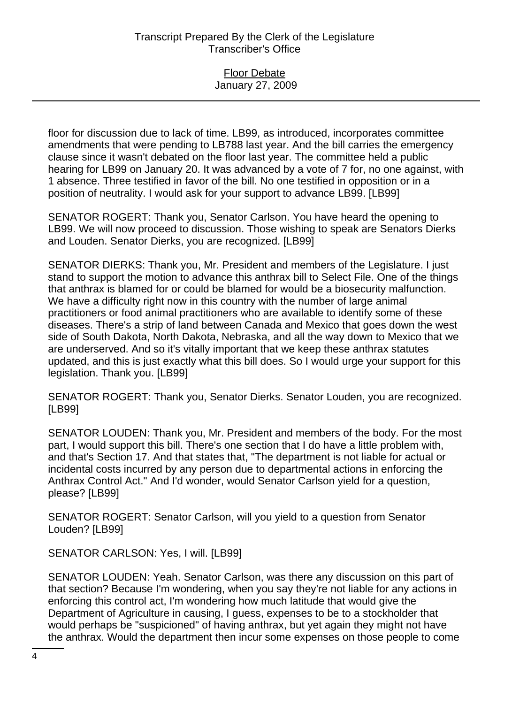### Floor Debate January 27, 2009

floor for discussion due to lack of time. LB99, as introduced, incorporates committee amendments that were pending to LB788 last year. And the bill carries the emergency clause since it wasn't debated on the floor last year. The committee held a public hearing for LB99 on January 20. It was advanced by a vote of 7 for, no one against, with 1 absence. Three testified in favor of the bill. No one testified in opposition or in a position of neutrality. I would ask for your support to advance LB99. [LB99]

SENATOR ROGERT: Thank you, Senator Carlson. You have heard the opening to LB99. We will now proceed to discussion. Those wishing to speak are Senators Dierks and Louden. Senator Dierks, you are recognized. [LB99]

SENATOR DIERKS: Thank you, Mr. President and members of the Legislature. I just stand to support the motion to advance this anthrax bill to Select File. One of the things that anthrax is blamed for or could be blamed for would be a biosecurity malfunction. We have a difficulty right now in this country with the number of large animal practitioners or food animal practitioners who are available to identify some of these diseases. There's a strip of land between Canada and Mexico that goes down the west side of South Dakota, North Dakota, Nebraska, and all the way down to Mexico that we are underserved. And so it's vitally important that we keep these anthrax statutes updated, and this is just exactly what this bill does. So I would urge your support for this legislation. Thank you. [LB99]

SENATOR ROGERT: Thank you, Senator Dierks. Senator Louden, you are recognized. [LB99]

SENATOR LOUDEN: Thank you, Mr. President and members of the body. For the most part, I would support this bill. There's one section that I do have a little problem with, and that's Section 17. And that states that, "The department is not liable for actual or incidental costs incurred by any person due to departmental actions in enforcing the Anthrax Control Act." And I'd wonder, would Senator Carlson yield for a question, please? [LB99]

SENATOR ROGERT: Senator Carlson, will you yield to a question from Senator Louden? [LB99]

SENATOR CARLSON: Yes, I will. [LB99]

SENATOR LOUDEN: Yeah. Senator Carlson, was there any discussion on this part of that section? Because I'm wondering, when you say they're not liable for any actions in enforcing this control act, I'm wondering how much latitude that would give the Department of Agriculture in causing, I guess, expenses to be to a stockholder that would perhaps be "suspicioned" of having anthrax, but yet again they might not have the anthrax. Would the department then incur some expenses on those people to come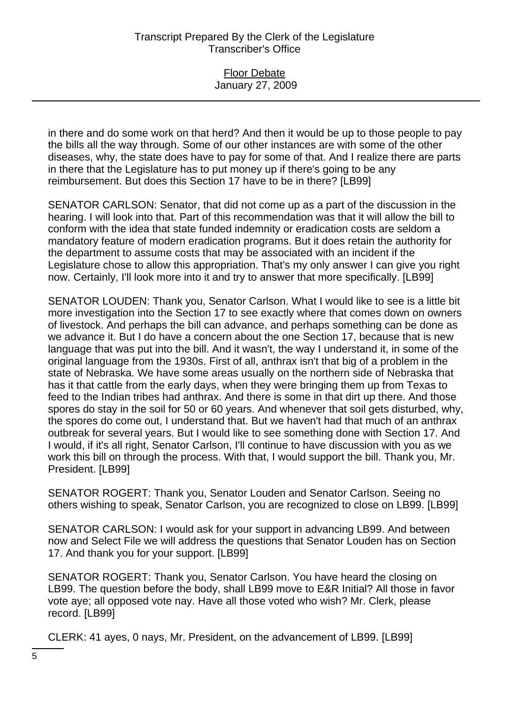### Floor Debate January 27, 2009

in there and do some work on that herd? And then it would be up to those people to pay the bills all the way through. Some of our other instances are with some of the other diseases, why, the state does have to pay for some of that. And I realize there are parts in there that the Legislature has to put money up if there's going to be any reimbursement. But does this Section 17 have to be in there? [LB99]

SENATOR CARLSON: Senator, that did not come up as a part of the discussion in the hearing. I will look into that. Part of this recommendation was that it will allow the bill to conform with the idea that state funded indemnity or eradication costs are seldom a mandatory feature of modern eradication programs. But it does retain the authority for the department to assume costs that may be associated with an incident if the Legislature chose to allow this appropriation. That's my only answer I can give you right now. Certainly, I'll look more into it and try to answer that more specifically. [LB99]

SENATOR LOUDEN: Thank you, Senator Carlson. What I would like to see is a little bit more investigation into the Section 17 to see exactly where that comes down on owners of livestock. And perhaps the bill can advance, and perhaps something can be done as we advance it. But I do have a concern about the one Section 17, because that is new language that was put into the bill. And it wasn't, the way I understand it, in some of the original language from the 1930s. First of all, anthrax isn't that big of a problem in the state of Nebraska. We have some areas usually on the northern side of Nebraska that has it that cattle from the early days, when they were bringing them up from Texas to feed to the Indian tribes had anthrax. And there is some in that dirt up there. And those spores do stay in the soil for 50 or 60 years. And whenever that soil gets disturbed, why, the spores do come out, I understand that. But we haven't had that much of an anthrax outbreak for several years. But I would like to see something done with Section 17. And I would, if it's all right, Senator Carlson, I'll continue to have discussion with you as we work this bill on through the process. With that, I would support the bill. Thank you, Mr. President. [LB99]

SENATOR ROGERT: Thank you, Senator Louden and Senator Carlson. Seeing no others wishing to speak, Senator Carlson, you are recognized to close on LB99. [LB99]

SENATOR CARLSON: I would ask for your support in advancing LB99. And between now and Select File we will address the questions that Senator Louden has on Section 17. And thank you for your support. [LB99]

SENATOR ROGERT: Thank you, Senator Carlson. You have heard the closing on LB99. The question before the body, shall LB99 move to E&R Initial? All those in favor vote aye; all opposed vote nay. Have all those voted who wish? Mr. Clerk, please record. [LB99]

CLERK: 41 ayes, 0 nays, Mr. President, on the advancement of LB99. [LB99]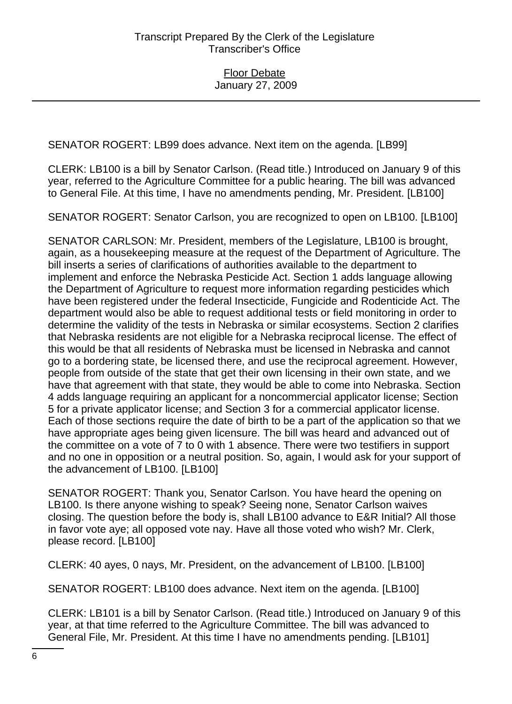SENATOR ROGERT: LB99 does advance. Next item on the agenda. [LB99]

CLERK: LB100 is a bill by Senator Carlson. (Read title.) Introduced on January 9 of this year, referred to the Agriculture Committee for a public hearing. The bill was advanced to General File. At this time, I have no amendments pending, Mr. President. [LB100]

SENATOR ROGERT: Senator Carlson, you are recognized to open on LB100. [LB100]

SENATOR CARLSON: Mr. President, members of the Legislature, LB100 is brought, again, as a housekeeping measure at the request of the Department of Agriculture. The bill inserts a series of clarifications of authorities available to the department to implement and enforce the Nebraska Pesticide Act. Section 1 adds language allowing the Department of Agriculture to request more information regarding pesticides which have been registered under the federal Insecticide, Fungicide and Rodenticide Act. The department would also be able to request additional tests or field monitoring in order to determine the validity of the tests in Nebraska or similar ecosystems. Section 2 clarifies that Nebraska residents are not eligible for a Nebraska reciprocal license. The effect of this would be that all residents of Nebraska must be licensed in Nebraska and cannot go to a bordering state, be licensed there, and use the reciprocal agreement. However, people from outside of the state that get their own licensing in their own state, and we have that agreement with that state, they would be able to come into Nebraska. Section 4 adds language requiring an applicant for a noncommercial applicator license; Section 5 for a private applicator license; and Section 3 for a commercial applicator license. Each of those sections require the date of birth to be a part of the application so that we have appropriate ages being given licensure. The bill was heard and advanced out of the committee on a vote of 7 to 0 with 1 absence. There were two testifiers in support and no one in opposition or a neutral position. So, again, I would ask for your support of the advancement of LB100. [LB100]

SENATOR ROGERT: Thank you, Senator Carlson. You have heard the opening on LB100. Is there anyone wishing to speak? Seeing none, Senator Carlson waives closing. The question before the body is, shall LB100 advance to E&R Initial? All those in favor vote aye; all opposed vote nay. Have all those voted who wish? Mr. Clerk, please record. [LB100]

CLERK: 40 ayes, 0 nays, Mr. President, on the advancement of LB100. [LB100]

SENATOR ROGERT: LB100 does advance. Next item on the agenda. [LB100]

CLERK: LB101 is a bill by Senator Carlson. (Read title.) Introduced on January 9 of this year, at that time referred to the Agriculture Committee. The bill was advanced to General File, Mr. President. At this time I have no amendments pending. [LB101]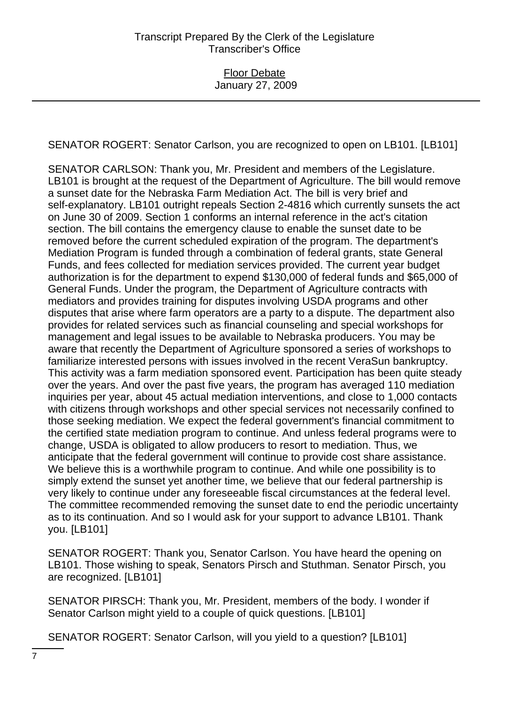SENATOR ROGERT: Senator Carlson, you are recognized to open on LB101. [LB101]

SENATOR CARLSON: Thank you, Mr. President and members of the Legislature. LB101 is brought at the request of the Department of Agriculture. The bill would remove a sunset date for the Nebraska Farm Mediation Act. The bill is very brief and self-explanatory. LB101 outright repeals Section 2-4816 which currently sunsets the act on June 30 of 2009. Section 1 conforms an internal reference in the act's citation section. The bill contains the emergency clause to enable the sunset date to be removed before the current scheduled expiration of the program. The department's Mediation Program is funded through a combination of federal grants, state General Funds, and fees collected for mediation services provided. The current year budget authorization is for the department to expend \$130,000 of federal funds and \$65,000 of General Funds. Under the program, the Department of Agriculture contracts with mediators and provides training for disputes involving USDA programs and other disputes that arise where farm operators are a party to a dispute. The department also provides for related services such as financial counseling and special workshops for management and legal issues to be available to Nebraska producers. You may be aware that recently the Department of Agriculture sponsored a series of workshops to familiarize interested persons with issues involved in the recent VeraSun bankruptcy. This activity was a farm mediation sponsored event. Participation has been quite steady over the years. And over the past five years, the program has averaged 110 mediation inquiries per year, about 45 actual mediation interventions, and close to 1,000 contacts with citizens through workshops and other special services not necessarily confined to those seeking mediation. We expect the federal government's financial commitment to the certified state mediation program to continue. And unless federal programs were to change, USDA is obligated to allow producers to resort to mediation. Thus, we anticipate that the federal government will continue to provide cost share assistance. We believe this is a worthwhile program to continue. And while one possibility is to simply extend the sunset yet another time, we believe that our federal partnership is very likely to continue under any foreseeable fiscal circumstances at the federal level. The committee recommended removing the sunset date to end the periodic uncertainty as to its continuation. And so I would ask for your support to advance LB101. Thank you. [LB101]

SENATOR ROGERT: Thank you, Senator Carlson. You have heard the opening on LB101. Those wishing to speak, Senators Pirsch and Stuthman. Senator Pirsch, you are recognized. [LB101]

SENATOR PIRSCH: Thank you, Mr. President, members of the body. I wonder if Senator Carlson might yield to a couple of quick questions. [LB101]

SENATOR ROGERT: Senator Carlson, will you yield to a question? [LB101]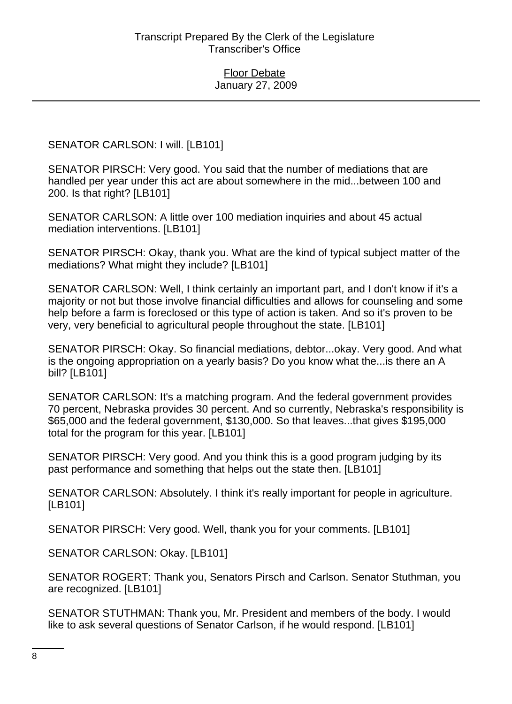SENATOR CARLSON: I will. [LB101]

SENATOR PIRSCH: Very good. You said that the number of mediations that are handled per year under this act are about somewhere in the mid...between 100 and 200. Is that right? [LB101]

SENATOR CARLSON: A little over 100 mediation inquiries and about 45 actual mediation interventions. [LB101]

SENATOR PIRSCH: Okay, thank you. What are the kind of typical subject matter of the mediations? What might they include? [LB101]

SENATOR CARLSON: Well, I think certainly an important part, and I don't know if it's a majority or not but those involve financial difficulties and allows for counseling and some help before a farm is foreclosed or this type of action is taken. And so it's proven to be very, very beneficial to agricultural people throughout the state. [LB101]

SENATOR PIRSCH: Okay. So financial mediations, debtor...okay. Very good. And what is the ongoing appropriation on a yearly basis? Do you know what the...is there an A bill? [LB101]

SENATOR CARLSON: It's a matching program. And the federal government provides 70 percent, Nebraska provides 30 percent. And so currently, Nebraska's responsibility is \$65,000 and the federal government, \$130,000. So that leaves...that gives \$195,000 total for the program for this year. [LB101]

SENATOR PIRSCH: Very good. And you think this is a good program judging by its past performance and something that helps out the state then. [LB101]

SENATOR CARLSON: Absolutely. I think it's really important for people in agriculture. [LB101]

SENATOR PIRSCH: Very good. Well, thank you for your comments. [LB101]

SENATOR CARLSON: Okay. [LB101]

SENATOR ROGERT: Thank you, Senators Pirsch and Carlson. Senator Stuthman, you are recognized. [LB101]

SENATOR STUTHMAN: Thank you, Mr. President and members of the body. I would like to ask several questions of Senator Carlson, if he would respond. [LB101]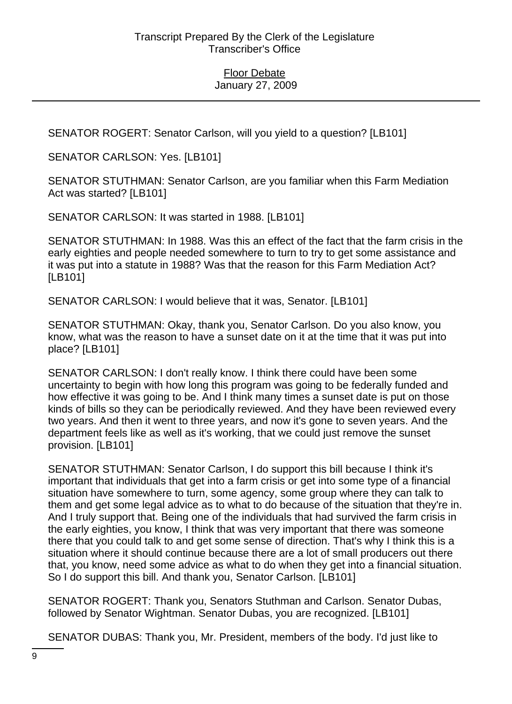SENATOR ROGERT: Senator Carlson, will you yield to a question? [LB101]

SENATOR CARLSON: Yes. [LB101]

SENATOR STUTHMAN: Senator Carlson, are you familiar when this Farm Mediation Act was started? [LB101]

SENATOR CARLSON: It was started in 1988. [LB101]

SENATOR STUTHMAN: In 1988. Was this an effect of the fact that the farm crisis in the early eighties and people needed somewhere to turn to try to get some assistance and it was put into a statute in 1988? Was that the reason for this Farm Mediation Act? [LB101]

SENATOR CARLSON: I would believe that it was, Senator. [LB101]

SENATOR STUTHMAN: Okay, thank you, Senator Carlson. Do you also know, you know, what was the reason to have a sunset date on it at the time that it was put into place? [LB101]

SENATOR CARLSON: I don't really know. I think there could have been some uncertainty to begin with how long this program was going to be federally funded and how effective it was going to be. And I think many times a sunset date is put on those kinds of bills so they can be periodically reviewed. And they have been reviewed every two years. And then it went to three years, and now it's gone to seven years. And the department feels like as well as it's working, that we could just remove the sunset provision. [LB101]

SENATOR STUTHMAN: Senator Carlson, I do support this bill because I think it's important that individuals that get into a farm crisis or get into some type of a financial situation have somewhere to turn, some agency, some group where they can talk to them and get some legal advice as to what to do because of the situation that they're in. And I truly support that. Being one of the individuals that had survived the farm crisis in the early eighties, you know, I think that was very important that there was someone there that you could talk to and get some sense of direction. That's why I think this is a situation where it should continue because there are a lot of small producers out there that, you know, need some advice as what to do when they get into a financial situation. So I do support this bill. And thank you, Senator Carlson. [LB101]

SENATOR ROGERT: Thank you, Senators Stuthman and Carlson. Senator Dubas, followed by Senator Wightman. Senator Dubas, you are recognized. [LB101]

SENATOR DUBAS: Thank you, Mr. President, members of the body. I'd just like to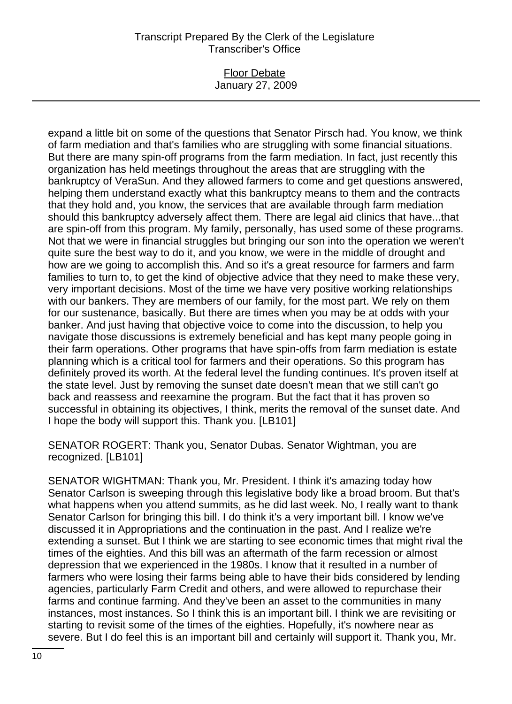### Floor Debate January 27, 2009

expand a little bit on some of the questions that Senator Pirsch had. You know, we think of farm mediation and that's families who are struggling with some financial situations. But there are many spin-off programs from the farm mediation. In fact, just recently this organization has held meetings throughout the areas that are struggling with the bankruptcy of VeraSun. And they allowed farmers to come and get questions answered, helping them understand exactly what this bankruptcy means to them and the contracts that they hold and, you know, the services that are available through farm mediation should this bankruptcy adversely affect them. There are legal aid clinics that have...that are spin-off from this program. My family, personally, has used some of these programs. Not that we were in financial struggles but bringing our son into the operation we weren't quite sure the best way to do it, and you know, we were in the middle of drought and how are we going to accomplish this. And so it's a great resource for farmers and farm families to turn to, to get the kind of objective advice that they need to make these very, very important decisions. Most of the time we have very positive working relationships with our bankers. They are members of our family, for the most part. We rely on them for our sustenance, basically. But there are times when you may be at odds with your banker. And just having that objective voice to come into the discussion, to help you navigate those discussions is extremely beneficial and has kept many people going in their farm operations. Other programs that have spin-offs from farm mediation is estate planning which is a critical tool for farmers and their operations. So this program has definitely proved its worth. At the federal level the funding continues. It's proven itself at the state level. Just by removing the sunset date doesn't mean that we still can't go back and reassess and reexamine the program. But the fact that it has proven so successful in obtaining its objectives, I think, merits the removal of the sunset date. And I hope the body will support this. Thank you. [LB101]

SENATOR ROGERT: Thank you, Senator Dubas. Senator Wightman, you are recognized. [LB101]

SENATOR WIGHTMAN: Thank you, Mr. President. I think it's amazing today how Senator Carlson is sweeping through this legislative body like a broad broom. But that's what happens when you attend summits, as he did last week. No, I really want to thank Senator Carlson for bringing this bill. I do think it's a very important bill. I know we've discussed it in Appropriations and the continuation in the past. And I realize we're extending a sunset. But I think we are starting to see economic times that might rival the times of the eighties. And this bill was an aftermath of the farm recession or almost depression that we experienced in the 1980s. I know that it resulted in a number of farmers who were losing their farms being able to have their bids considered by lending agencies, particularly Farm Credit and others, and were allowed to repurchase their farms and continue farming. And they've been an asset to the communities in many instances, most instances. So I think this is an important bill. I think we are revisiting or starting to revisit some of the times of the eighties. Hopefully, it's nowhere near as severe. But I do feel this is an important bill and certainly will support it. Thank you, Mr.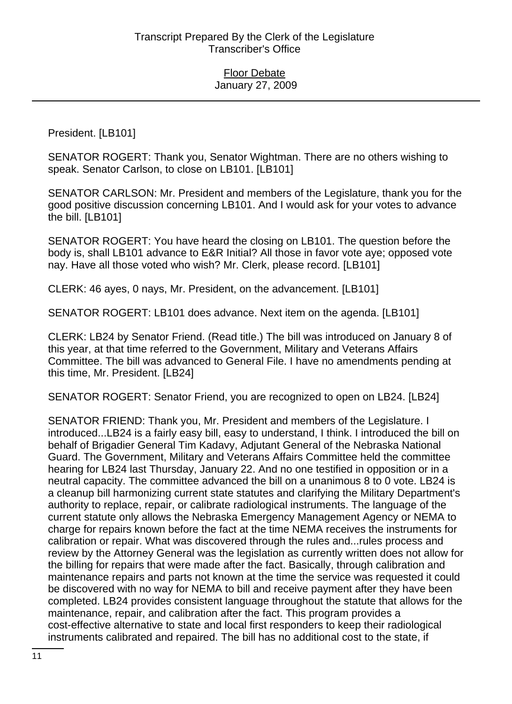President. [LB101]

SENATOR ROGERT: Thank you, Senator Wightman. There are no others wishing to speak. Senator Carlson, to close on LB101. [LB101]

SENATOR CARLSON: Mr. President and members of the Legislature, thank you for the good positive discussion concerning LB101. And I would ask for your votes to advance the bill. [LB101]

SENATOR ROGERT: You have heard the closing on LB101. The question before the body is, shall LB101 advance to E&R Initial? All those in favor vote aye; opposed vote nay. Have all those voted who wish? Mr. Clerk, please record. [LB101]

CLERK: 46 ayes, 0 nays, Mr. President, on the advancement. [LB101]

SENATOR ROGERT: LB101 does advance. Next item on the agenda. [LB101]

CLERK: LB24 by Senator Friend. (Read title.) The bill was introduced on January 8 of this year, at that time referred to the Government, Military and Veterans Affairs Committee. The bill was advanced to General File. I have no amendments pending at this time, Mr. President. [LB24]

SENATOR ROGERT: Senator Friend, you are recognized to open on LB24. [LB24]

SENATOR FRIEND: Thank you, Mr. President and members of the Legislature. I introduced...LB24 is a fairly easy bill, easy to understand, I think. I introduced the bill on behalf of Brigadier General Tim Kadavy, Adjutant General of the Nebraska National Guard. The Government, Military and Veterans Affairs Committee held the committee hearing for LB24 last Thursday, January 22. And no one testified in opposition or in a neutral capacity. The committee advanced the bill on a unanimous 8 to 0 vote. LB24 is a cleanup bill harmonizing current state statutes and clarifying the Military Department's authority to replace, repair, or calibrate radiological instruments. The language of the current statute only allows the Nebraska Emergency Management Agency or NEMA to charge for repairs known before the fact at the time NEMA receives the instruments for calibration or repair. What was discovered through the rules and...rules process and review by the Attorney General was the legislation as currently written does not allow for the billing for repairs that were made after the fact. Basically, through calibration and maintenance repairs and parts not known at the time the service was requested it could be discovered with no way for NEMA to bill and receive payment after they have been completed. LB24 provides consistent language throughout the statute that allows for the maintenance, repair, and calibration after the fact. This program provides a cost-effective alternative to state and local first responders to keep their radiological instruments calibrated and repaired. The bill has no additional cost to the state, if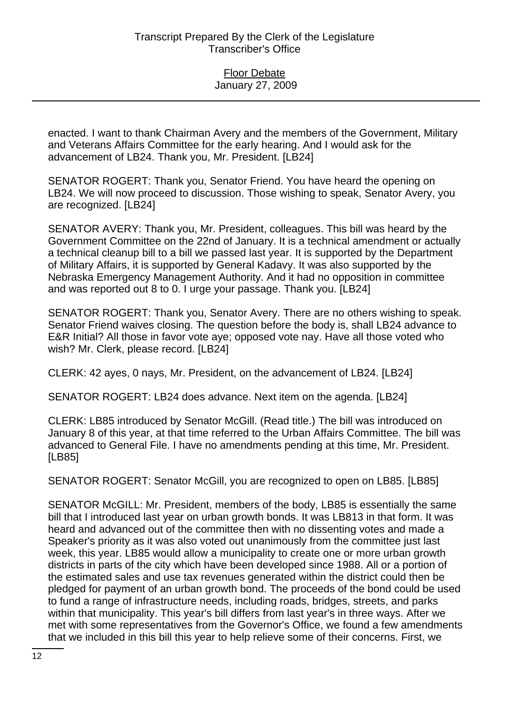enacted. I want to thank Chairman Avery and the members of the Government, Military and Veterans Affairs Committee for the early hearing. And I would ask for the advancement of LB24. Thank you, Mr. President. [LB24]

SENATOR ROGERT: Thank you, Senator Friend. You have heard the opening on LB24. We will now proceed to discussion. Those wishing to speak, Senator Avery, you are recognized. [LB24]

SENATOR AVERY: Thank you, Mr. President, colleagues. This bill was heard by the Government Committee on the 22nd of January. It is a technical amendment or actually a technical cleanup bill to a bill we passed last year. It is supported by the Department of Military Affairs, it is supported by General Kadavy. It was also supported by the Nebraska Emergency Management Authority. And it had no opposition in committee and was reported out 8 to 0. I urge your passage. Thank you. [LB24]

SENATOR ROGERT: Thank you, Senator Avery. There are no others wishing to speak. Senator Friend waives closing. The question before the body is, shall LB24 advance to E&R Initial? All those in favor vote aye; opposed vote nay. Have all those voted who wish? Mr. Clerk, please record. [LB24]

CLERK: 42 ayes, 0 nays, Mr. President, on the advancement of LB24. [LB24]

SENATOR ROGERT: LB24 does advance. Next item on the agenda. [LB24]

CLERK: LB85 introduced by Senator McGill. (Read title.) The bill was introduced on January 8 of this year, at that time referred to the Urban Affairs Committee. The bill was advanced to General File. I have no amendments pending at this time, Mr. President. [LB85]

SENATOR ROGERT: Senator McGill, you are recognized to open on LB85. [LB85]

SENATOR McGILL: Mr. President, members of the body, LB85 is essentially the same bill that I introduced last year on urban growth bonds. It was LB813 in that form. It was heard and advanced out of the committee then with no dissenting votes and made a Speaker's priority as it was also voted out unanimously from the committee just last week, this year. LB85 would allow a municipality to create one or more urban growth districts in parts of the city which have been developed since 1988. All or a portion of the estimated sales and use tax revenues generated within the district could then be pledged for payment of an urban growth bond. The proceeds of the bond could be used to fund a range of infrastructure needs, including roads, bridges, streets, and parks within that municipality. This year's bill differs from last year's in three ways. After we met with some representatives from the Governor's Office, we found a few amendments that we included in this bill this year to help relieve some of their concerns. First, we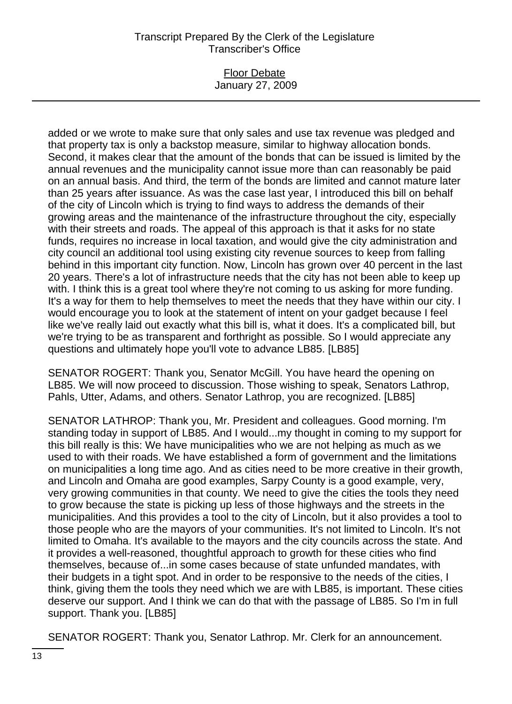### Floor Debate January 27, 2009

added or we wrote to make sure that only sales and use tax revenue was pledged and that property tax is only a backstop measure, similar to highway allocation bonds. Second, it makes clear that the amount of the bonds that can be issued is limited by the annual revenues and the municipality cannot issue more than can reasonably be paid on an annual basis. And third, the term of the bonds are limited and cannot mature later than 25 years after issuance. As was the case last year, I introduced this bill on behalf of the city of Lincoln which is trying to find ways to address the demands of their growing areas and the maintenance of the infrastructure throughout the city, especially with their streets and roads. The appeal of this approach is that it asks for no state funds, requires no increase in local taxation, and would give the city administration and city council an additional tool using existing city revenue sources to keep from falling behind in this important city function. Now, Lincoln has grown over 40 percent in the last 20 years. There's a lot of infrastructure needs that the city has not been able to keep up with. I think this is a great tool where they're not coming to us asking for more funding. It's a way for them to help themselves to meet the needs that they have within our city. I would encourage you to look at the statement of intent on your gadget because I feel like we've really laid out exactly what this bill is, what it does. It's a complicated bill, but we're trying to be as transparent and forthright as possible. So I would appreciate any questions and ultimately hope you'll vote to advance LB85. [LB85]

SENATOR ROGERT: Thank you, Senator McGill. You have heard the opening on LB85. We will now proceed to discussion. Those wishing to speak, Senators Lathrop, Pahls, Utter, Adams, and others. Senator Lathrop, you are recognized. [LB85]

SENATOR LATHROP: Thank you, Mr. President and colleagues. Good morning. I'm standing today in support of LB85. And I would...my thought in coming to my support for this bill really is this: We have municipalities who we are not helping as much as we used to with their roads. We have established a form of government and the limitations on municipalities a long time ago. And as cities need to be more creative in their growth, and Lincoln and Omaha are good examples, Sarpy County is a good example, very, very growing communities in that county. We need to give the cities the tools they need to grow because the state is picking up less of those highways and the streets in the municipalities. And this provides a tool to the city of Lincoln, but it also provides a tool to those people who are the mayors of your communities. It's not limited to Lincoln. It's not limited to Omaha. It's available to the mayors and the city councils across the state. And it provides a well-reasoned, thoughtful approach to growth for these cities who find themselves, because of...in some cases because of state unfunded mandates, with their budgets in a tight spot. And in order to be responsive to the needs of the cities, I think, giving them the tools they need which we are with LB85, is important. These cities deserve our support. And I think we can do that with the passage of LB85. So I'm in full support. Thank you. [LB85]

SENATOR ROGERT: Thank you, Senator Lathrop. Mr. Clerk for an announcement.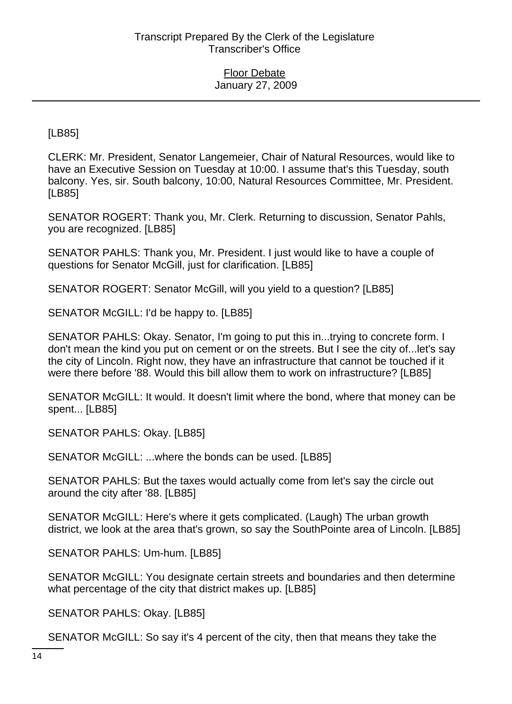[LB85]

CLERK: Mr. President, Senator Langemeier, Chair of Natural Resources, would like to have an Executive Session on Tuesday at 10:00. I assume that's this Tuesday, south balcony. Yes, sir. South balcony, 10:00, Natural Resources Committee, Mr. President. [LB85]

SENATOR ROGERT: Thank you, Mr. Clerk. Returning to discussion, Senator Pahls, you are recognized. [LB85]

SENATOR PAHLS: Thank you, Mr. President. I just would like to have a couple of questions for Senator McGill, just for clarification. [LB85]

SENATOR ROGERT: Senator McGill, will you yield to a question? [LB85]

SENATOR McGILL: I'd be happy to. [LB85]

SENATOR PAHLS: Okay. Senator, I'm going to put this in...trying to concrete form. I don't mean the kind you put on cement or on the streets. But I see the city of...let's say the city of Lincoln. Right now, they have an infrastructure that cannot be touched if it were there before '88. Would this bill allow them to work on infrastructure? [LB85]

SENATOR McGILL: It would. It doesn't limit where the bond, where that money can be spent... [LB85]

SENATOR PAHLS: Okay. [LB85]

SENATOR McGILL: ...where the bonds can be used. [LB85]

SENATOR PAHLS: But the taxes would actually come from let's say the circle out around the city after '88. [LB85]

SENATOR McGILL: Here's where it gets complicated. (Laugh) The urban growth district, we look at the area that's grown, so say the SouthPointe area of Lincoln. [LB85]

SENATOR PAHLS: Um-hum. [LB85]

SENATOR McGILL: You designate certain streets and boundaries and then determine what percentage of the city that district makes up. [LB85]

SENATOR PAHLS: Okay. [LB85]

SENATOR McGILL: So say it's 4 percent of the city, then that means they take the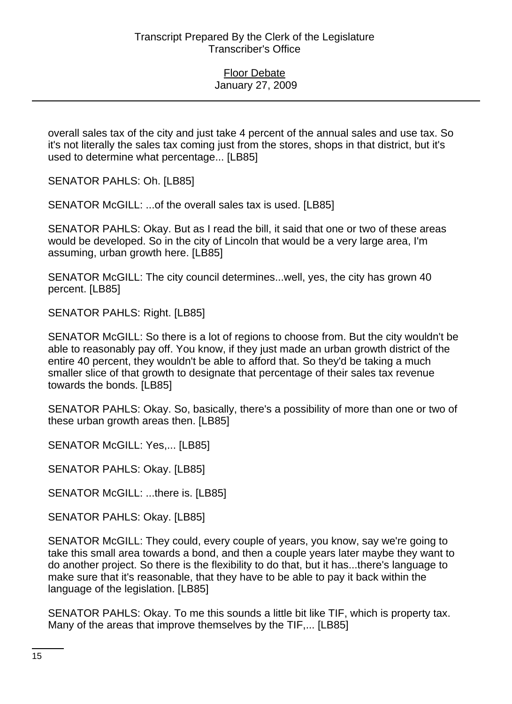overall sales tax of the city and just take 4 percent of the annual sales and use tax. So it's not literally the sales tax coming just from the stores, shops in that district, but it's used to determine what percentage... [LB85]

SENATOR PAHLS: Oh. [LB85]

SENATOR McGILL: ...of the overall sales tax is used. [LB85]

SENATOR PAHLS: Okay. But as I read the bill, it said that one or two of these areas would be developed. So in the city of Lincoln that would be a very large area, I'm assuming, urban growth here. [LB85]

SENATOR McGILL: The city council determines...well, yes, the city has grown 40 percent. [LB85]

SENATOR PAHLS: Right. [LB85]

SENATOR McGILL: So there is a lot of regions to choose from. But the city wouldn't be able to reasonably pay off. You know, if they just made an urban growth district of the entire 40 percent, they wouldn't be able to afford that. So they'd be taking a much smaller slice of that growth to designate that percentage of their sales tax revenue towards the bonds. [LB85]

SENATOR PAHLS: Okay. So, basically, there's a possibility of more than one or two of these urban growth areas then. [LB85]

SENATOR McGILL: Yes,... [LB85]

SENATOR PAHLS: Okay. [LB85]

SENATOR McGILL: ...there is. [LB85]

SENATOR PAHLS: Okay. [LB85]

SENATOR McGILL: They could, every couple of years, you know, say we're going to take this small area towards a bond, and then a couple years later maybe they want to do another project. So there is the flexibility to do that, but it has...there's language to make sure that it's reasonable, that they have to be able to pay it back within the language of the legislation. [LB85]

SENATOR PAHLS: Okay. To me this sounds a little bit like TIF, which is property tax. Many of the areas that improve themselves by the TIF,... [LB85]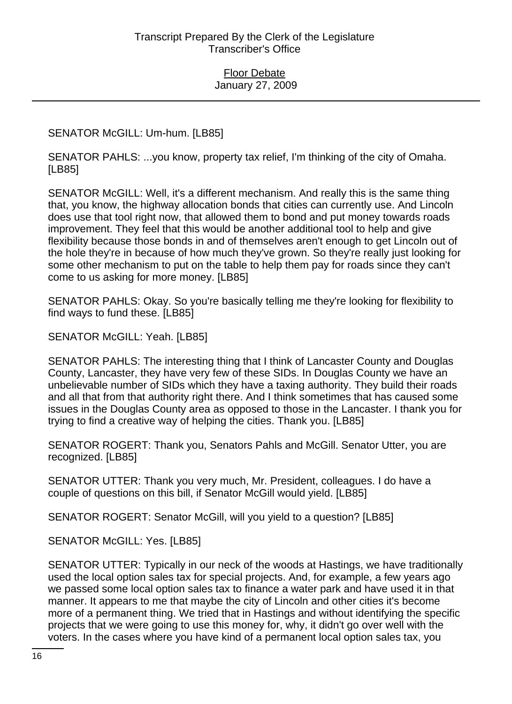SENATOR McGILL: Um-hum. [LB85]

SENATOR PAHLS: ...you know, property tax relief, I'm thinking of the city of Omaha. [LB85]

SENATOR McGILL: Well, it's a different mechanism. And really this is the same thing that, you know, the highway allocation bonds that cities can currently use. And Lincoln does use that tool right now, that allowed them to bond and put money towards roads improvement. They feel that this would be another additional tool to help and give flexibility because those bonds in and of themselves aren't enough to get Lincoln out of the hole they're in because of how much they've grown. So they're really just looking for some other mechanism to put on the table to help them pay for roads since they can't come to us asking for more money. [LB85]

SENATOR PAHLS: Okay. So you're basically telling me they're looking for flexibility to find ways to fund these. [LB85]

SENATOR McGILL: Yeah. [LB85]

SENATOR PAHLS: The interesting thing that I think of Lancaster County and Douglas County, Lancaster, they have very few of these SIDs. In Douglas County we have an unbelievable number of SIDs which they have a taxing authority. They build their roads and all that from that authority right there. And I think sometimes that has caused some issues in the Douglas County area as opposed to those in the Lancaster. I thank you for trying to find a creative way of helping the cities. Thank you. [LB85]

SENATOR ROGERT: Thank you, Senators Pahls and McGill. Senator Utter, you are recognized. [LB85]

SENATOR UTTER: Thank you very much, Mr. President, colleagues. I do have a couple of questions on this bill, if Senator McGill would yield. [LB85]

SENATOR ROGERT: Senator McGill, will you yield to a question? [LB85]

SENATOR McGILL: Yes. [LB85]

SENATOR UTTER: Typically in our neck of the woods at Hastings, we have traditionally used the local option sales tax for special projects. And, for example, a few years ago we passed some local option sales tax to finance a water park and have used it in that manner. It appears to me that maybe the city of Lincoln and other cities it's become more of a permanent thing. We tried that in Hastings and without identifying the specific projects that we were going to use this money for, why, it didn't go over well with the voters. In the cases where you have kind of a permanent local option sales tax, you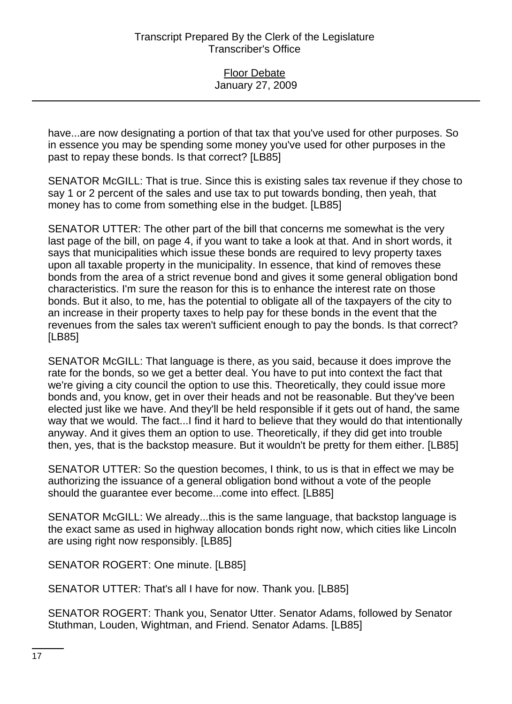have...are now designating a portion of that tax that you've used for other purposes. So in essence you may be spending some money you've used for other purposes in the past to repay these bonds. Is that correct? [LB85]

SENATOR McGILL: That is true. Since this is existing sales tax revenue if they chose to say 1 or 2 percent of the sales and use tax to put towards bonding, then yeah, that money has to come from something else in the budget. [LB85]

SENATOR UTTER: The other part of the bill that concerns me somewhat is the very last page of the bill, on page 4, if you want to take a look at that. And in short words, it says that municipalities which issue these bonds are required to levy property taxes upon all taxable property in the municipality. In essence, that kind of removes these bonds from the area of a strict revenue bond and gives it some general obligation bond characteristics. I'm sure the reason for this is to enhance the interest rate on those bonds. But it also, to me, has the potential to obligate all of the taxpayers of the city to an increase in their property taxes to help pay for these bonds in the event that the revenues from the sales tax weren't sufficient enough to pay the bonds. Is that correct? [LB85]

SENATOR McGILL: That language is there, as you said, because it does improve the rate for the bonds, so we get a better deal. You have to put into context the fact that we're giving a city council the option to use this. Theoretically, they could issue more bonds and, you know, get in over their heads and not be reasonable. But they've been elected just like we have. And they'll be held responsible if it gets out of hand, the same way that we would. The fact...I find it hard to believe that they would do that intentionally anyway. And it gives them an option to use. Theoretically, if they did get into trouble then, yes, that is the backstop measure. But it wouldn't be pretty for them either. [LB85]

SENATOR UTTER: So the question becomes, I think, to us is that in effect we may be authorizing the issuance of a general obligation bond without a vote of the people should the guarantee ever become...come into effect. [LB85]

SENATOR McGILL: We already...this is the same language, that backstop language is the exact same as used in highway allocation bonds right now, which cities like Lincoln are using right now responsibly. [LB85]

SENATOR ROGERT: One minute. [LB85]

SENATOR UTTER: That's all I have for now. Thank you. [LB85]

SENATOR ROGERT: Thank you, Senator Utter. Senator Adams, followed by Senator Stuthman, Louden, Wightman, and Friend. Senator Adams. [LB85]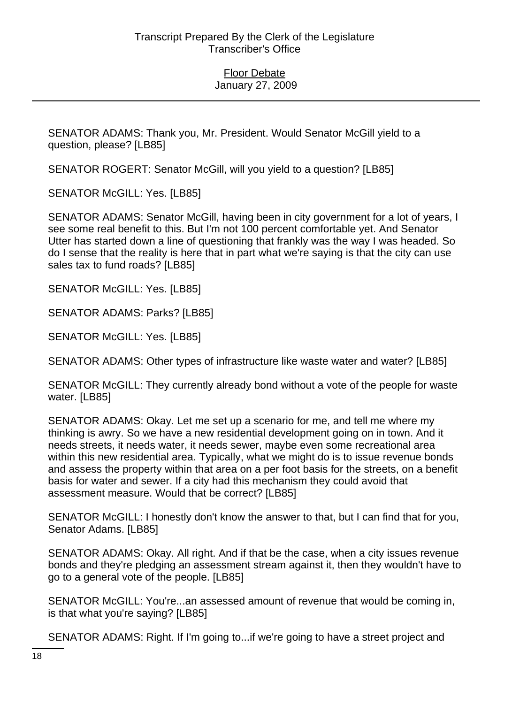SENATOR ADAMS: Thank you, Mr. President. Would Senator McGill yield to a question, please? [LB85]

SENATOR ROGERT: Senator McGill, will you yield to a question? [LB85]

SENATOR McGILL: Yes. [LB85]

SENATOR ADAMS: Senator McGill, having been in city government for a lot of years, I see some real benefit to this. But I'm not 100 percent comfortable yet. And Senator Utter has started down a line of questioning that frankly was the way I was headed. So do I sense that the reality is here that in part what we're saying is that the city can use sales tax to fund roads? [LB85]

SENATOR McGILL: Yes. [LB85]

SENATOR ADAMS: Parks? [LB85]

SENATOR McGILL: Yes. [LB85]

SENATOR ADAMS: Other types of infrastructure like waste water and water? [LB85]

SENATOR McGILL: They currently already bond without a vote of the people for waste water. [LB85]

SENATOR ADAMS: Okay. Let me set up a scenario for me, and tell me where my thinking is awry. So we have a new residential development going on in town. And it needs streets, it needs water, it needs sewer, maybe even some recreational area within this new residential area. Typically, what we might do is to issue revenue bonds and assess the property within that area on a per foot basis for the streets, on a benefit basis for water and sewer. If a city had this mechanism they could avoid that assessment measure. Would that be correct? [LB85]

SENATOR McGILL: I honestly don't know the answer to that, but I can find that for you, Senator Adams. [LB85]

SENATOR ADAMS: Okay. All right. And if that be the case, when a city issues revenue bonds and they're pledging an assessment stream against it, then they wouldn't have to go to a general vote of the people. [LB85]

SENATOR McGILL: You're...an assessed amount of revenue that would be coming in, is that what you're saying? [LB85]

SENATOR ADAMS: Right. If I'm going to...if we're going to have a street project and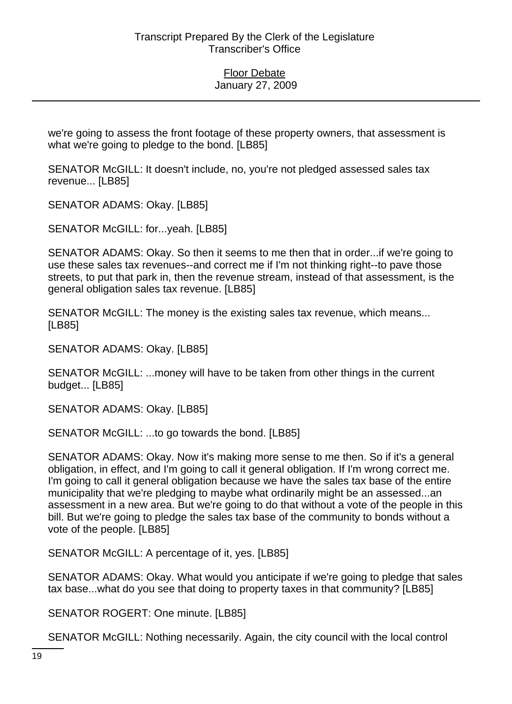we're going to assess the front footage of these property owners, that assessment is what we're going to pledge to the bond. [LB85]

SENATOR McGILL: It doesn't include, no, you're not pledged assessed sales tax revenue... [LB85]

SENATOR ADAMS: Okay. [LB85]

SENATOR McGILL: for...yeah. [LB85]

SENATOR ADAMS: Okay. So then it seems to me then that in order...if we're going to use these sales tax revenues--and correct me if I'm not thinking right--to pave those streets, to put that park in, then the revenue stream, instead of that assessment, is the general obligation sales tax revenue. [LB85]

SENATOR McGILL: The money is the existing sales tax revenue, which means... [LB85]

SENATOR ADAMS: Okay. [LB85]

SENATOR McGILL: ...money will have to be taken from other things in the current budget... [LB85]

SENATOR ADAMS: Okay. [LB85]

SENATOR McGILL: ...to go towards the bond. [LB85]

SENATOR ADAMS: Okay. Now it's making more sense to me then. So if it's a general obligation, in effect, and I'm going to call it general obligation. If I'm wrong correct me. I'm going to call it general obligation because we have the sales tax base of the entire municipality that we're pledging to maybe what ordinarily might be an assessed...an assessment in a new area. But we're going to do that without a vote of the people in this bill. But we're going to pledge the sales tax base of the community to bonds without a vote of the people. [LB85]

SENATOR McGILL: A percentage of it, yes. [LB85]

SENATOR ADAMS: Okay. What would you anticipate if we're going to pledge that sales tax base...what do you see that doing to property taxes in that community? [LB85]

SENATOR ROGERT: One minute. [LB85]

SENATOR McGILL: Nothing necessarily. Again, the city council with the local control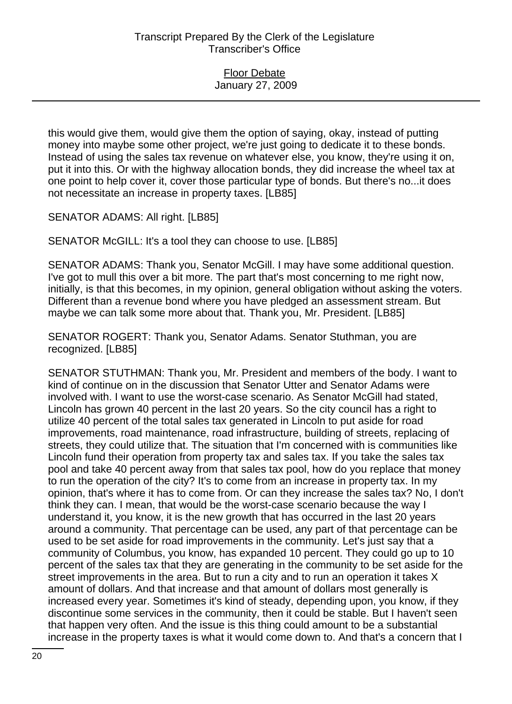this would give them, would give them the option of saying, okay, instead of putting money into maybe some other project, we're just going to dedicate it to these bonds. Instead of using the sales tax revenue on whatever else, you know, they're using it on, put it into this. Or with the highway allocation bonds, they did increase the wheel tax at one point to help cover it, cover those particular type of bonds. But there's no...it does not necessitate an increase in property taxes. [LB85]

SENATOR ADAMS: All right. [LB85]

SENATOR McGILL: It's a tool they can choose to use. [LB85]

SENATOR ADAMS: Thank you, Senator McGill. I may have some additional question. I've got to mull this over a bit more. The part that's most concerning to me right now, initially, is that this becomes, in my opinion, general obligation without asking the voters. Different than a revenue bond where you have pledged an assessment stream. But maybe we can talk some more about that. Thank you, Mr. President. [LB85]

SENATOR ROGERT: Thank you, Senator Adams. Senator Stuthman, you are recognized. [LB85]

SENATOR STUTHMAN: Thank you, Mr. President and members of the body. I want to kind of continue on in the discussion that Senator Utter and Senator Adams were involved with. I want to use the worst-case scenario. As Senator McGill had stated, Lincoln has grown 40 percent in the last 20 years. So the city council has a right to utilize 40 percent of the total sales tax generated in Lincoln to put aside for road improvements, road maintenance, road infrastructure, building of streets, replacing of streets, they could utilize that. The situation that I'm concerned with is communities like Lincoln fund their operation from property tax and sales tax. If you take the sales tax pool and take 40 percent away from that sales tax pool, how do you replace that money to run the operation of the city? It's to come from an increase in property tax. In my opinion, that's where it has to come from. Or can they increase the sales tax? No, I don't think they can. I mean, that would be the worst-case scenario because the way I understand it, you know, it is the new growth that has occurred in the last 20 years around a community. That percentage can be used, any part of that percentage can be used to be set aside for road improvements in the community. Let's just say that a community of Columbus, you know, has expanded 10 percent. They could go up to 10 percent of the sales tax that they are generating in the community to be set aside for the street improvements in the area. But to run a city and to run an operation it takes X amount of dollars. And that increase and that amount of dollars most generally is increased every year. Sometimes it's kind of steady, depending upon, you know, if they discontinue some services in the community, then it could be stable. But I haven't seen that happen very often. And the issue is this thing could amount to be a substantial increase in the property taxes is what it would come down to. And that's a concern that I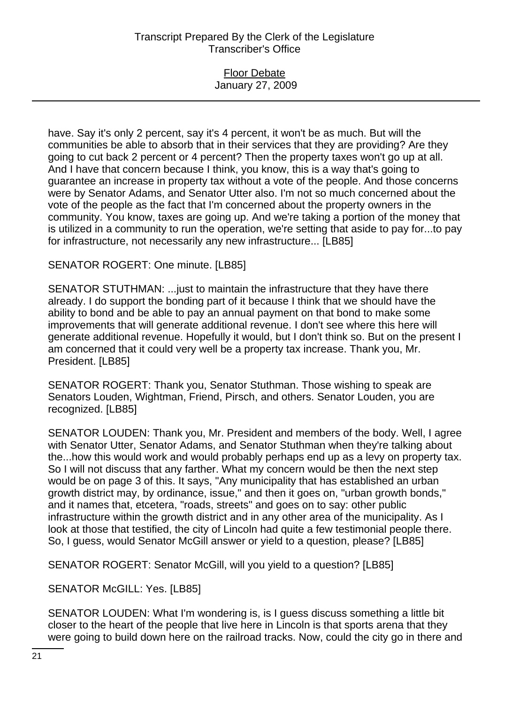### Floor Debate January 27, 2009

have. Say it's only 2 percent, say it's 4 percent, it won't be as much. But will the communities be able to absorb that in their services that they are providing? Are they going to cut back 2 percent or 4 percent? Then the property taxes won't go up at all. And I have that concern because I think, you know, this is a way that's going to guarantee an increase in property tax without a vote of the people. And those concerns were by Senator Adams, and Senator Utter also. I'm not so much concerned about the vote of the people as the fact that I'm concerned about the property owners in the community. You know, taxes are going up. And we're taking a portion of the money that is utilized in a community to run the operation, we're setting that aside to pay for...to pay for infrastructure, not necessarily any new infrastructure... [LB85]

## SENATOR ROGERT: One minute. [LB85]

SENATOR STUTHMAN: ...just to maintain the infrastructure that they have there already. I do support the bonding part of it because I think that we should have the ability to bond and be able to pay an annual payment on that bond to make some improvements that will generate additional revenue. I don't see where this here will generate additional revenue. Hopefully it would, but I don't think so. But on the present I am concerned that it could very well be a property tax increase. Thank you, Mr. President. [LB85]

SENATOR ROGERT: Thank you, Senator Stuthman. Those wishing to speak are Senators Louden, Wightman, Friend, Pirsch, and others. Senator Louden, you are recognized. [LB85]

SENATOR LOUDEN: Thank you, Mr. President and members of the body. Well, I agree with Senator Utter, Senator Adams, and Senator Stuthman when they're talking about the...how this would work and would probably perhaps end up as a levy on property tax. So I will not discuss that any farther. What my concern would be then the next step would be on page 3 of this. It says, "Any municipality that has established an urban growth district may, by ordinance, issue," and then it goes on, "urban growth bonds," and it names that, etcetera, "roads, streets" and goes on to say: other public infrastructure within the growth district and in any other area of the municipality. As I look at those that testified, the city of Lincoln had quite a few testimonial people there. So, I guess, would Senator McGill answer or yield to a question, please? [LB85]

SENATOR ROGERT: Senator McGill, will you yield to a question? [LB85]

SENATOR McGILL: Yes. [LB85]

SENATOR LOUDEN: What I'm wondering is, is I guess discuss something a little bit closer to the heart of the people that live here in Lincoln is that sports arena that they were going to build down here on the railroad tracks. Now, could the city go in there and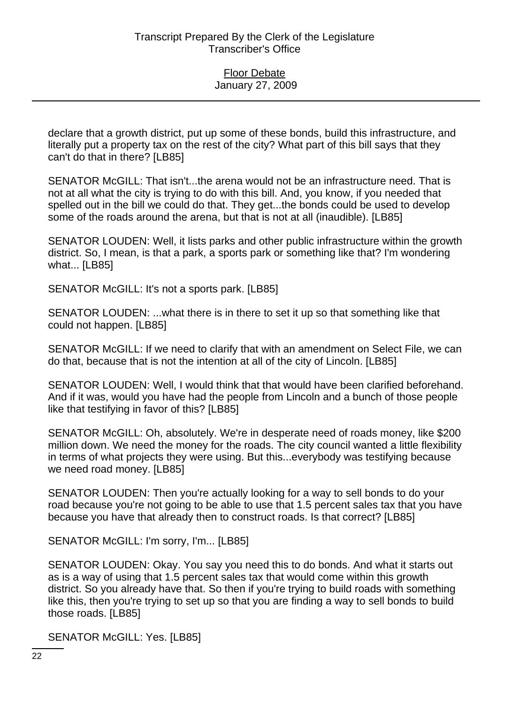declare that a growth district, put up some of these bonds, build this infrastructure, and literally put a property tax on the rest of the city? What part of this bill says that they can't do that in there? [LB85]

SENATOR McGILL: That isn't...the arena would not be an infrastructure need. That is not at all what the city is trying to do with this bill. And, you know, if you needed that spelled out in the bill we could do that. They get...the bonds could be used to develop some of the roads around the arena, but that is not at all (inaudible). [LB85]

SENATOR LOUDEN: Well, it lists parks and other public infrastructure within the growth district. So, I mean, is that a park, a sports park or something like that? I'm wondering what... [LB85]

SENATOR McGILL: It's not a sports park. [LB85]

SENATOR LOUDEN: ...what there is in there to set it up so that something like that could not happen. [LB85]

SENATOR McGILL: If we need to clarify that with an amendment on Select File, we can do that, because that is not the intention at all of the city of Lincoln. [LB85]

SENATOR LOUDEN: Well, I would think that that would have been clarified beforehand. And if it was, would you have had the people from Lincoln and a bunch of those people like that testifying in favor of this? [LB85]

SENATOR McGILL: Oh, absolutely. We're in desperate need of roads money, like \$200 million down. We need the money for the roads. The city council wanted a little flexibility in terms of what projects they were using. But this...everybody was testifying because we need road money. [LB85]

SENATOR LOUDEN: Then you're actually looking for a way to sell bonds to do your road because you're not going to be able to use that 1.5 percent sales tax that you have because you have that already then to construct roads. Is that correct? [LB85]

SENATOR McGILL: I'm sorry, I'm... [LB85]

SENATOR LOUDEN: Okay. You say you need this to do bonds. And what it starts out as is a way of using that 1.5 percent sales tax that would come within this growth district. So you already have that. So then if you're trying to build roads with something like this, then you're trying to set up so that you are finding a way to sell bonds to build those roads. [LB85]

SENATOR McGILL: Yes. [LB85]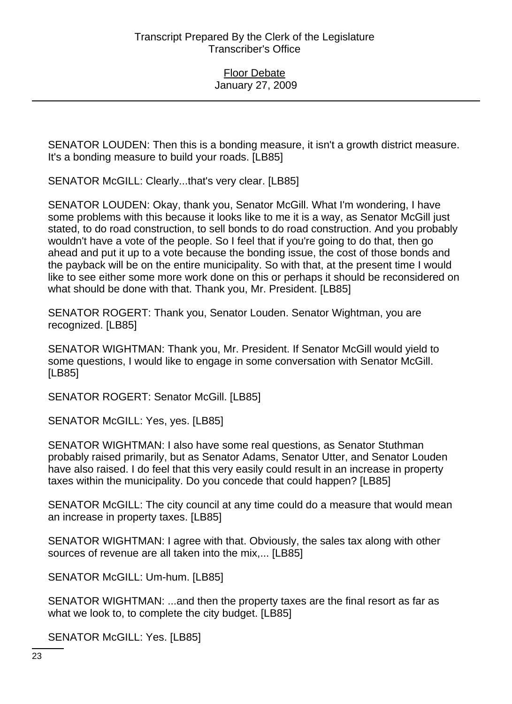SENATOR LOUDEN: Then this is a bonding measure, it isn't a growth district measure. It's a bonding measure to build your roads. [LB85]

SENATOR McGILL: Clearly...that's very clear. [LB85]

SENATOR LOUDEN: Okay, thank you, Senator McGill. What I'm wondering, I have some problems with this because it looks like to me it is a way, as Senator McGill just stated, to do road construction, to sell bonds to do road construction. And you probably wouldn't have a vote of the people. So I feel that if you're going to do that, then go ahead and put it up to a vote because the bonding issue, the cost of those bonds and the payback will be on the entire municipality. So with that, at the present time I would like to see either some more work done on this or perhaps it should be reconsidered on what should be done with that. Thank you, Mr. President. [LB85]

SENATOR ROGERT: Thank you, Senator Louden. Senator Wightman, you are recognized. [LB85]

SENATOR WIGHTMAN: Thank you, Mr. President. If Senator McGill would yield to some questions, I would like to engage in some conversation with Senator McGill. [LB85]

SENATOR ROGERT: Senator McGill. [LB85]

SENATOR McGILL: Yes, yes. [LB85]

SENATOR WIGHTMAN: I also have some real questions, as Senator Stuthman probably raised primarily, but as Senator Adams, Senator Utter, and Senator Louden have also raised. I do feel that this very easily could result in an increase in property taxes within the municipality. Do you concede that could happen? [LB85]

SENATOR McGILL: The city council at any time could do a measure that would mean an increase in property taxes. [LB85]

SENATOR WIGHTMAN: I agree with that. Obviously, the sales tax along with other sources of revenue are all taken into the mix,... [LB85]

SENATOR McGILL: Um-hum. [LB85]

SENATOR WIGHTMAN: ...and then the property taxes are the final resort as far as what we look to, to complete the city budget. [LB85]

SENATOR McGILL: Yes. [LB85]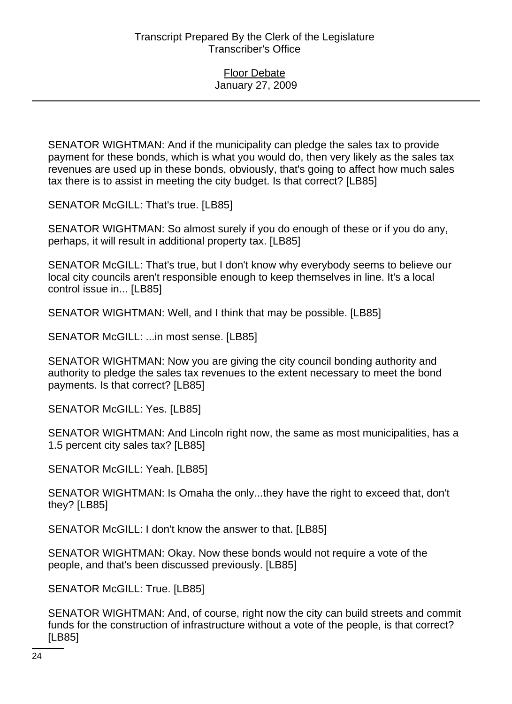SENATOR WIGHTMAN: And if the municipality can pledge the sales tax to provide payment for these bonds, which is what you would do, then very likely as the sales tax revenues are used up in these bonds, obviously, that's going to affect how much sales tax there is to assist in meeting the city budget. Is that correct? [LB85]

SENATOR McGILL: That's true. [LB85]

SENATOR WIGHTMAN: So almost surely if you do enough of these or if you do any, perhaps, it will result in additional property tax. [LB85]

SENATOR McGILL: That's true, but I don't know why everybody seems to believe our local city councils aren't responsible enough to keep themselves in line. It's a local control issue in... [LB85]

SENATOR WIGHTMAN: Well, and I think that may be possible. [LB85]

SENATOR McGILL: ...in most sense. [LB85]

SENATOR WIGHTMAN: Now you are giving the city council bonding authority and authority to pledge the sales tax revenues to the extent necessary to meet the bond payments. Is that correct? [LB85]

SENATOR McGILL: Yes. [LB85]

SENATOR WIGHTMAN: And Lincoln right now, the same as most municipalities, has a 1.5 percent city sales tax? [LB85]

SENATOR McGILL: Yeah. [LB85]

SENATOR WIGHTMAN: Is Omaha the only...they have the right to exceed that, don't they? [LB85]

SENATOR McGILL: I don't know the answer to that. [LB85]

SENATOR WIGHTMAN: Okay. Now these bonds would not require a vote of the people, and that's been discussed previously. [LB85]

SENATOR McGILL: True. [LB85]

SENATOR WIGHTMAN: And, of course, right now the city can build streets and commit funds for the construction of infrastructure without a vote of the people, is that correct? [LB85]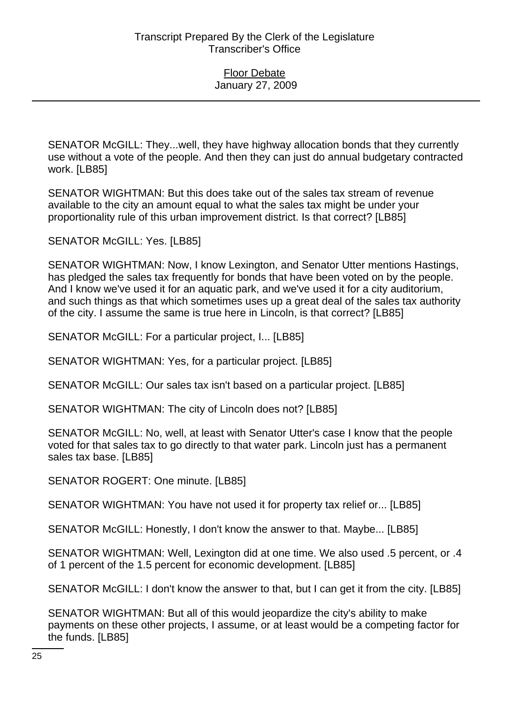SENATOR McGILL: They...well, they have highway allocation bonds that they currently use without a vote of the people. And then they can just do annual budgetary contracted work. [LB85]

SENATOR WIGHTMAN: But this does take out of the sales tax stream of revenue available to the city an amount equal to what the sales tax might be under your proportionality rule of this urban improvement district. Is that correct? [LB85]

SENATOR McGILL: Yes. [LB85]

SENATOR WIGHTMAN: Now, I know Lexington, and Senator Utter mentions Hastings, has pledged the sales tax frequently for bonds that have been voted on by the people. And I know we've used it for an aquatic park, and we've used it for a city auditorium, and such things as that which sometimes uses up a great deal of the sales tax authority of the city. I assume the same is true here in Lincoln, is that correct? [LB85]

SENATOR McGILL: For a particular project, I... [LB85]

SENATOR WIGHTMAN: Yes, for a particular project. [LB85]

SENATOR McGILL: Our sales tax isn't based on a particular project. [LB85]

SENATOR WIGHTMAN: The city of Lincoln does not? [LB85]

SENATOR McGILL: No, well, at least with Senator Utter's case I know that the people voted for that sales tax to go directly to that water park. Lincoln just has a permanent sales tax base. [LB85]

SENATOR ROGERT: One minute. [LB85]

SENATOR WIGHTMAN: You have not used it for property tax relief or... [LB85]

SENATOR McGILL: Honestly, I don't know the answer to that. Maybe... [LB85]

SENATOR WIGHTMAN: Well, Lexington did at one time. We also used .5 percent, or .4 of 1 percent of the 1.5 percent for economic development. [LB85]

SENATOR McGILL: I don't know the answer to that, but I can get it from the city. [LB85]

SENATOR WIGHTMAN: But all of this would jeopardize the city's ability to make payments on these other projects, I assume, or at least would be a competing factor for the funds. [LB85]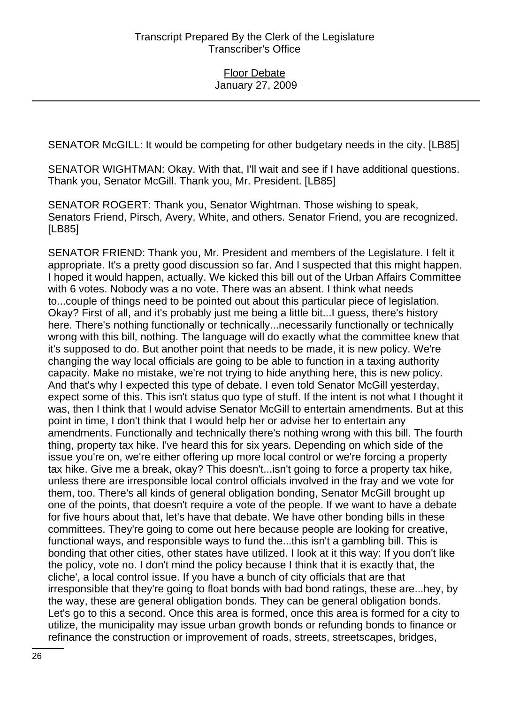SENATOR McGILL: It would be competing for other budgetary needs in the city. [LB85]

SENATOR WIGHTMAN: Okay. With that, I'll wait and see if I have additional questions. Thank you, Senator McGill. Thank you, Mr. President. [LB85]

SENATOR ROGERT: Thank you, Senator Wightman. Those wishing to speak, Senators Friend, Pirsch, Avery, White, and others. Senator Friend, you are recognized. [LB85]

SENATOR FRIEND: Thank you, Mr. President and members of the Legislature. I felt it appropriate. It's a pretty good discussion so far. And I suspected that this might happen. I hoped it would happen, actually. We kicked this bill out of the Urban Affairs Committee with 6 votes. Nobody was a no vote. There was an absent. I think what needs to...couple of things need to be pointed out about this particular piece of legislation. Okay? First of all, and it's probably just me being a little bit...I guess, there's history here. There's nothing functionally or technically...necessarily functionally or technically wrong with this bill, nothing. The language will do exactly what the committee knew that it's supposed to do. But another point that needs to be made, it is new policy. We're changing the way local officials are going to be able to function in a taxing authority capacity. Make no mistake, we're not trying to hide anything here, this is new policy. And that's why I expected this type of debate. I even told Senator McGill yesterday, expect some of this. This isn't status quo type of stuff. If the intent is not what I thought it was, then I think that I would advise Senator McGill to entertain amendments. But at this point in time, I don't think that I would help her or advise her to entertain any amendments. Functionally and technically there's nothing wrong with this bill. The fourth thing, property tax hike. I've heard this for six years. Depending on which side of the issue you're on, we're either offering up more local control or we're forcing a property tax hike. Give me a break, okay? This doesn't...isn't going to force a property tax hike, unless there are irresponsible local control officials involved in the fray and we vote for them, too. There's all kinds of general obligation bonding, Senator McGill brought up one of the points, that doesn't require a vote of the people. If we want to have a debate for five hours about that, let's have that debate. We have other bonding bills in these committees. They're going to come out here because people are looking for creative, functional ways, and responsible ways to fund the...this isn't a gambling bill. This is bonding that other cities, other states have utilized. I look at it this way: If you don't like the policy, vote no. I don't mind the policy because I think that it is exactly that, the cliche', a local control issue. If you have a bunch of city officials that are that irresponsible that they're going to float bonds with bad bond ratings, these are...hey, by the way, these are general obligation bonds. They can be general obligation bonds. Let's go to this a second. Once this area is formed, once this area is formed for a city to utilize, the municipality may issue urban growth bonds or refunding bonds to finance or refinance the construction or improvement of roads, streets, streetscapes, bridges,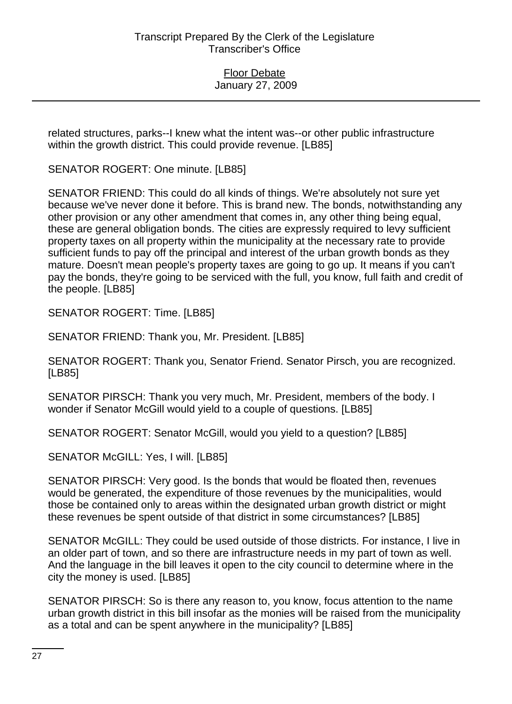related structures, parks--I knew what the intent was--or other public infrastructure within the growth district. This could provide revenue. [LB85]

SENATOR ROGERT: One minute. [LB85]

SENATOR FRIEND: This could do all kinds of things. We're absolutely not sure yet because we've never done it before. This is brand new. The bonds, notwithstanding any other provision or any other amendment that comes in, any other thing being equal, these are general obligation bonds. The cities are expressly required to levy sufficient property taxes on all property within the municipality at the necessary rate to provide sufficient funds to pay off the principal and interest of the urban growth bonds as they mature. Doesn't mean people's property taxes are going to go up. It means if you can't pay the bonds, they're going to be serviced with the full, you know, full faith and credit of the people. [LB85]

SENATOR ROGERT: Time. [LB85]

SENATOR FRIEND: Thank you, Mr. President. [LB85]

SENATOR ROGERT: Thank you, Senator Friend. Senator Pirsch, you are recognized. [LB85]

SENATOR PIRSCH: Thank you very much, Mr. President, members of the body. I wonder if Senator McGill would yield to a couple of questions. [LB85]

SENATOR ROGERT: Senator McGill, would you yield to a question? [LB85]

SENATOR McGILL: Yes, I will. [LB85]

SENATOR PIRSCH: Very good. Is the bonds that would be floated then, revenues would be generated, the expenditure of those revenues by the municipalities, would those be contained only to areas within the designated urban growth district or might these revenues be spent outside of that district in some circumstances? [LB85]

SENATOR McGILL: They could be used outside of those districts. For instance, I live in an older part of town, and so there are infrastructure needs in my part of town as well. And the language in the bill leaves it open to the city council to determine where in the city the money is used. [LB85]

SENATOR PIRSCH: So is there any reason to, you know, focus attention to the name urban growth district in this bill insofar as the monies will be raised from the municipality as a total and can be spent anywhere in the municipality? [LB85]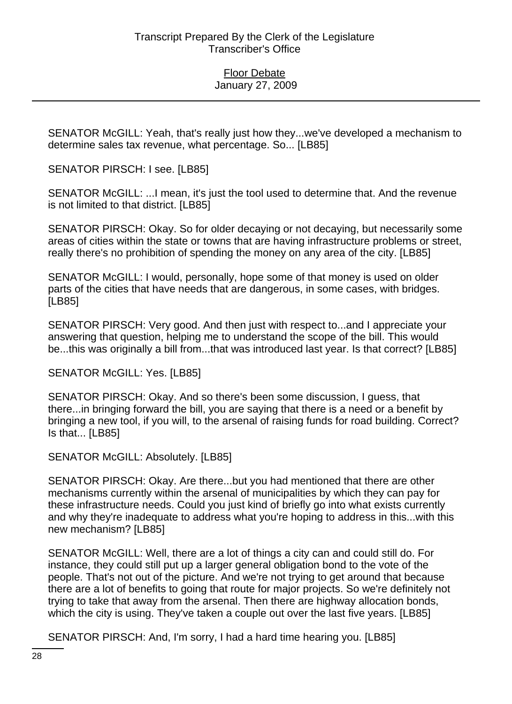SENATOR McGILL: Yeah, that's really just how they...we've developed a mechanism to determine sales tax revenue, what percentage. So... [LB85]

SENATOR PIRSCH: I see. [LB85]

SENATOR McGILL: ...I mean, it's just the tool used to determine that. And the revenue is not limited to that district. [LB85]

SENATOR PIRSCH: Okay. So for older decaying or not decaying, but necessarily some areas of cities within the state or towns that are having infrastructure problems or street, really there's no prohibition of spending the money on any area of the city. [LB85]

SENATOR McGILL: I would, personally, hope some of that money is used on older parts of the cities that have needs that are dangerous, in some cases, with bridges. [LB85]

SENATOR PIRSCH: Very good. And then just with respect to...and I appreciate your answering that question, helping me to understand the scope of the bill. This would be...this was originally a bill from...that was introduced last year. Is that correct? [LB85]

SENATOR McGILL: Yes. [LB85]

SENATOR PIRSCH: Okay. And so there's been some discussion, I guess, that there...in bringing forward the bill, you are saying that there is a need or a benefit by bringing a new tool, if you will, to the arsenal of raising funds for road building. Correct? Is that... [LB85]

SENATOR McGILL: Absolutely. [LB85]

SENATOR PIRSCH: Okay. Are there...but you had mentioned that there are other mechanisms currently within the arsenal of municipalities by which they can pay for these infrastructure needs. Could you just kind of briefly go into what exists currently and why they're inadequate to address what you're hoping to address in this...with this new mechanism? [LB85]

SENATOR McGILL: Well, there are a lot of things a city can and could still do. For instance, they could still put up a larger general obligation bond to the vote of the people. That's not out of the picture. And we're not trying to get around that because there are a lot of benefits to going that route for major projects. So we're definitely not trying to take that away from the arsenal. Then there are highway allocation bonds, which the city is using. They've taken a couple out over the last five years. [LB85]

SENATOR PIRSCH: And, I'm sorry, I had a hard time hearing you. [LB85]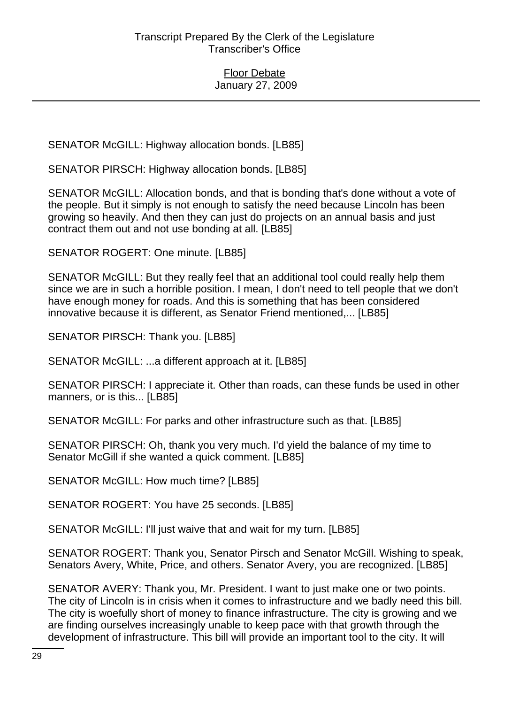SENATOR McGILL: Highway allocation bonds. [LB85]

SENATOR PIRSCH: Highway allocation bonds. [LB85]

SENATOR McGILL: Allocation bonds, and that is bonding that's done without a vote of the people. But it simply is not enough to satisfy the need because Lincoln has been growing so heavily. And then they can just do projects on an annual basis and just contract them out and not use bonding at all. [LB85]

SENATOR ROGERT: One minute. [LB85]

SENATOR McGILL: But they really feel that an additional tool could really help them since we are in such a horrible position. I mean, I don't need to tell people that we don't have enough money for roads. And this is something that has been considered innovative because it is different, as Senator Friend mentioned,... [LB85]

SENATOR PIRSCH: Thank you. [LB85]

SENATOR McGILL: ...a different approach at it. [LB85]

SENATOR PIRSCH: I appreciate it. Other than roads, can these funds be used in other manners, or is this... [LB85]

SENATOR McGILL: For parks and other infrastructure such as that. [LB85]

SENATOR PIRSCH: Oh, thank you very much. I'd yield the balance of my time to Senator McGill if she wanted a quick comment. [LB85]

SENATOR McGILL: How much time? [LB85]

SENATOR ROGERT: You have 25 seconds. [LB85]

SENATOR McGILL: I'll just waive that and wait for my turn. [LB85]

SENATOR ROGERT: Thank you, Senator Pirsch and Senator McGill. Wishing to speak, Senators Avery, White, Price, and others. Senator Avery, you are recognized. [LB85]

SENATOR AVERY: Thank you, Mr. President. I want to just make one or two points. The city of Lincoln is in crisis when it comes to infrastructure and we badly need this bill. The city is woefully short of money to finance infrastructure. The city is growing and we are finding ourselves increasingly unable to keep pace with that growth through the development of infrastructure. This bill will provide an important tool to the city. It will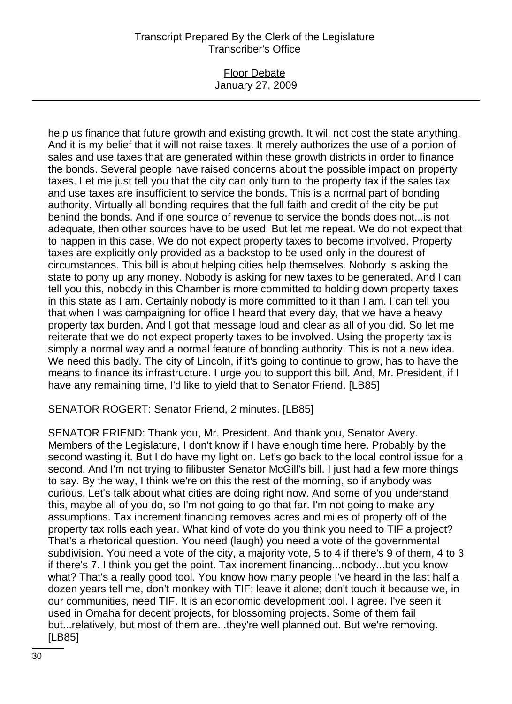### Floor Debate January 27, 2009

help us finance that future growth and existing growth. It will not cost the state anything. And it is my belief that it will not raise taxes. It merely authorizes the use of a portion of sales and use taxes that are generated within these growth districts in order to finance the bonds. Several people have raised concerns about the possible impact on property taxes. Let me just tell you that the city can only turn to the property tax if the sales tax and use taxes are insufficient to service the bonds. This is a normal part of bonding authority. Virtually all bonding requires that the full faith and credit of the city be put behind the bonds. And if one source of revenue to service the bonds does not...is not adequate, then other sources have to be used. But let me repeat. We do not expect that to happen in this case. We do not expect property taxes to become involved. Property taxes are explicitly only provided as a backstop to be used only in the dourest of circumstances. This bill is about helping cities help themselves. Nobody is asking the state to pony up any money. Nobody is asking for new taxes to be generated. And I can tell you this, nobody in this Chamber is more committed to holding down property taxes in this state as I am. Certainly nobody is more committed to it than I am. I can tell you that when I was campaigning for office I heard that every day, that we have a heavy property tax burden. And I got that message loud and clear as all of you did. So let me reiterate that we do not expect property taxes to be involved. Using the property tax is simply a normal way and a normal feature of bonding authority. This is not a new idea. We need this badly. The city of Lincoln, if it's going to continue to grow, has to have the means to finance its infrastructure. I urge you to support this bill. And, Mr. President, if I have any remaining time, I'd like to yield that to Senator Friend. [LB85]

SENATOR ROGERT: Senator Friend, 2 minutes. [LB85]

SENATOR FRIEND: Thank you, Mr. President. And thank you, Senator Avery. Members of the Legislature, I don't know if I have enough time here. Probably by the second wasting it. But I do have my light on. Let's go back to the local control issue for a second. And I'm not trying to filibuster Senator McGill's bill. I just had a few more things to say. By the way, I think we're on this the rest of the morning, so if anybody was curious. Let's talk about what cities are doing right now. And some of you understand this, maybe all of you do, so I'm not going to go that far. I'm not going to make any assumptions. Tax increment financing removes acres and miles of property off of the property tax rolls each year. What kind of vote do you think you need to TIF a project? That's a rhetorical question. You need (laugh) you need a vote of the governmental subdivision. You need a vote of the city, a majority vote, 5 to 4 if there's 9 of them, 4 to 3 if there's 7. I think you get the point. Tax increment financing...nobody...but you know what? That's a really good tool. You know how many people I've heard in the last half a dozen years tell me, don't monkey with TIF; leave it alone; don't touch it because we, in our communities, need TIF. It is an economic development tool. I agree. I've seen it used in Omaha for decent projects, for blossoming projects. Some of them fail but...relatively, but most of them are...they're well planned out. But we're removing. [LB85]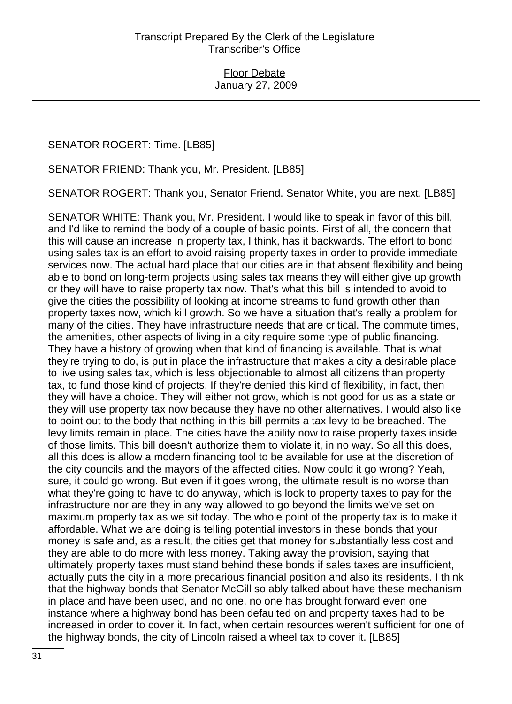SENATOR ROGERT: Time. [LB85]

SENATOR FRIEND: Thank you, Mr. President. [LB85]

SENATOR ROGERT: Thank you, Senator Friend. Senator White, you are next. [LB85]

SENATOR WHITE: Thank you, Mr. President. I would like to speak in favor of this bill, and I'd like to remind the body of a couple of basic points. First of all, the concern that this will cause an increase in property tax, I think, has it backwards. The effort to bond using sales tax is an effort to avoid raising property taxes in order to provide immediate services now. The actual hard place that our cities are in that absent flexibility and being able to bond on long-term projects using sales tax means they will either give up growth or they will have to raise property tax now. That's what this bill is intended to avoid to give the cities the possibility of looking at income streams to fund growth other than property taxes now, which kill growth. So we have a situation that's really a problem for many of the cities. They have infrastructure needs that are critical. The commute times, the amenities, other aspects of living in a city require some type of public financing. They have a history of growing when that kind of financing is available. That is what they're trying to do, is put in place the infrastructure that makes a city a desirable place to live using sales tax, which is less objectionable to almost all citizens than property tax, to fund those kind of projects. If they're denied this kind of flexibility, in fact, then they will have a choice. They will either not grow, which is not good for us as a state or they will use property tax now because they have no other alternatives. I would also like to point out to the body that nothing in this bill permits a tax levy to be breached. The levy limits remain in place. The cities have the ability now to raise property taxes inside of those limits. This bill doesn't authorize them to violate it, in no way. So all this does, all this does is allow a modern financing tool to be available for use at the discretion of the city councils and the mayors of the affected cities. Now could it go wrong? Yeah, sure, it could go wrong. But even if it goes wrong, the ultimate result is no worse than what they're going to have to do anyway, which is look to property taxes to pay for the infrastructure nor are they in any way allowed to go beyond the limits we've set on maximum property tax as we sit today. The whole point of the property tax is to make it affordable. What we are doing is telling potential investors in these bonds that your money is safe and, as a result, the cities get that money for substantially less cost and they are able to do more with less money. Taking away the provision, saying that ultimately property taxes must stand behind these bonds if sales taxes are insufficient, actually puts the city in a more precarious financial position and also its residents. I think that the highway bonds that Senator McGill so ably talked about have these mechanism in place and have been used, and no one, no one has brought forward even one instance where a highway bond has been defaulted on and property taxes had to be increased in order to cover it. In fact, when certain resources weren't sufficient for one of the highway bonds, the city of Lincoln raised a wheel tax to cover it. [LB85]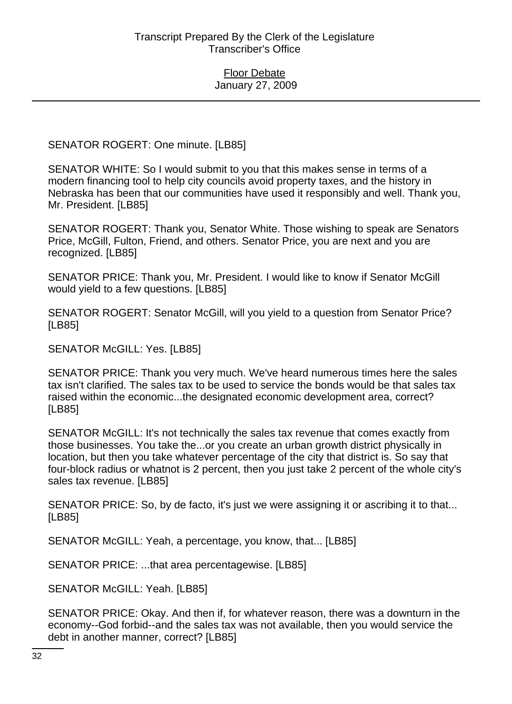SENATOR ROGERT: One minute. [LB85]

SENATOR WHITE: So I would submit to you that this makes sense in terms of a modern financing tool to help city councils avoid property taxes, and the history in Nebraska has been that our communities have used it responsibly and well. Thank you, Mr. President. [LB85]

SENATOR ROGERT: Thank you, Senator White. Those wishing to speak are Senators Price, McGill, Fulton, Friend, and others. Senator Price, you are next and you are recognized. [LB85]

SENATOR PRICE: Thank you, Mr. President. I would like to know if Senator McGill would yield to a few questions. [LB85]

SENATOR ROGERT: Senator McGill, will you yield to a question from Senator Price? [LB85]

SENATOR McGILL: Yes. [LB85]

SENATOR PRICE: Thank you very much. We've heard numerous times here the sales tax isn't clarified. The sales tax to be used to service the bonds would be that sales tax raised within the economic...the designated economic development area, correct? [LB85]

SENATOR McGILL: It's not technically the sales tax revenue that comes exactly from those businesses. You take the...or you create an urban growth district physically in location, but then you take whatever percentage of the city that district is. So say that four-block radius or whatnot is 2 percent, then you just take 2 percent of the whole city's sales tax revenue. [LB85]

SENATOR PRICE: So, by de facto, it's just we were assigning it or ascribing it to that... [LB85]

SENATOR McGILL: Yeah, a percentage, you know, that... [LB85]

SENATOR PRICE: ...that area percentagewise. [LB85]

SENATOR McGILL: Yeah. [LB85]

SENATOR PRICE: Okay. And then if, for whatever reason, there was a downturn in the economy--God forbid--and the sales tax was not available, then you would service the debt in another manner, correct? [LB85]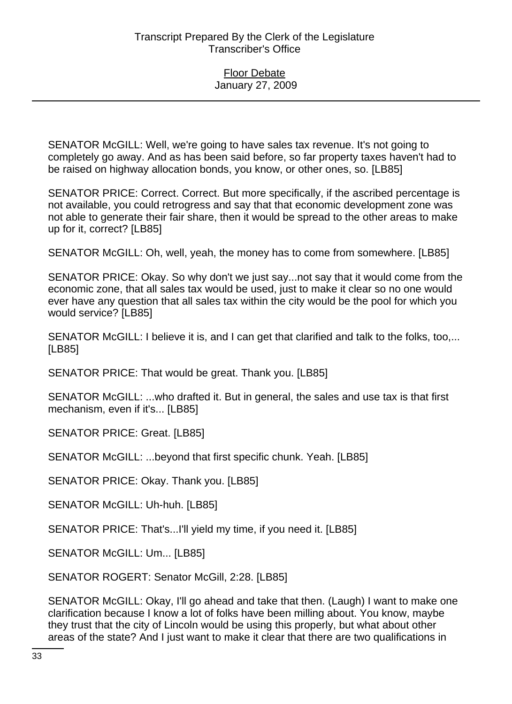SENATOR McGILL: Well, we're going to have sales tax revenue. It's not going to completely go away. And as has been said before, so far property taxes haven't had to be raised on highway allocation bonds, you know, or other ones, so. [LB85]

SENATOR PRICE: Correct. Correct. But more specifically, if the ascribed percentage is not available, you could retrogress and say that that economic development zone was not able to generate their fair share, then it would be spread to the other areas to make up for it, correct? [LB85]

SENATOR McGILL: Oh, well, yeah, the money has to come from somewhere. [LB85]

SENATOR PRICE: Okay. So why don't we just say...not say that it would come from the economic zone, that all sales tax would be used, just to make it clear so no one would ever have any question that all sales tax within the city would be the pool for which you would service? [LB85]

SENATOR McGILL: I believe it is, and I can get that clarified and talk to the folks, too,... [LB85]

SENATOR PRICE: That would be great. Thank you. [LB85]

SENATOR McGILL: ...who drafted it. But in general, the sales and use tax is that first mechanism, even if it's... [LB85]

SENATOR PRICE: Great. [LB85]

SENATOR McGILL: ...beyond that first specific chunk. Yeah. [LB85]

SENATOR PRICE: Okay. Thank you. [LB85]

SENATOR McGILL: Uh-huh. [LB85]

SENATOR PRICE: That's...I'll yield my time, if you need it. [LB85]

SENATOR McGILL: Um... [LB85]

SENATOR ROGERT: Senator McGill, 2:28. [LB85]

SENATOR McGILL: Okay, I'll go ahead and take that then. (Laugh) I want to make one clarification because I know a lot of folks have been milling about. You know, maybe they trust that the city of Lincoln would be using this properly, but what about other areas of the state? And I just want to make it clear that there are two qualifications in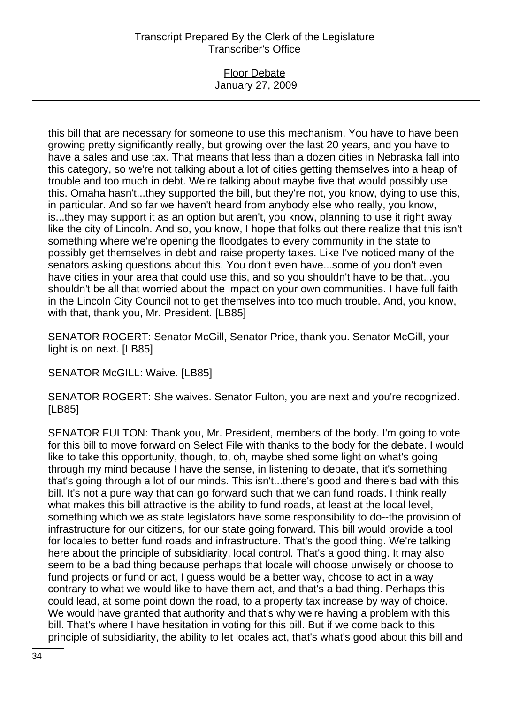#### Floor Debate January 27, 2009

this bill that are necessary for someone to use this mechanism. You have to have been growing pretty significantly really, but growing over the last 20 years, and you have to have a sales and use tax. That means that less than a dozen cities in Nebraska fall into this category, so we're not talking about a lot of cities getting themselves into a heap of trouble and too much in debt. We're talking about maybe five that would possibly use this. Omaha hasn't...they supported the bill, but they're not, you know, dying to use this, in particular. And so far we haven't heard from anybody else who really, you know, is...they may support it as an option but aren't, you know, planning to use it right away like the city of Lincoln. And so, you know, I hope that folks out there realize that this isn't something where we're opening the floodgates to every community in the state to possibly get themselves in debt and raise property taxes. Like I've noticed many of the senators asking questions about this. You don't even have...some of you don't even have cities in your area that could use this, and so you shouldn't have to be that...you shouldn't be all that worried about the impact on your own communities. I have full faith in the Lincoln City Council not to get themselves into too much trouble. And, you know, with that, thank you, Mr. President. [LB85]

SENATOR ROGERT: Senator McGill, Senator Price, thank you. Senator McGill, your light is on next. [LB85]

SENATOR McGILL: Waive. [LB85]

SENATOR ROGERT: She waives. Senator Fulton, you are next and you're recognized. [LB85]

SENATOR FULTON: Thank you, Mr. President, members of the body. I'm going to vote for this bill to move forward on Select File with thanks to the body for the debate. I would like to take this opportunity, though, to, oh, maybe shed some light on what's going through my mind because I have the sense, in listening to debate, that it's something that's going through a lot of our minds. This isn't...there's good and there's bad with this bill. It's not a pure way that can go forward such that we can fund roads. I think really what makes this bill attractive is the ability to fund roads, at least at the local level, something which we as state legislators have some responsibility to do--the provision of infrastructure for our citizens, for our state going forward. This bill would provide a tool for locales to better fund roads and infrastructure. That's the good thing. We're talking here about the principle of subsidiarity, local control. That's a good thing. It may also seem to be a bad thing because perhaps that locale will choose unwisely or choose to fund projects or fund or act, I guess would be a better way, choose to act in a way contrary to what we would like to have them act, and that's a bad thing. Perhaps this could lead, at some point down the road, to a property tax increase by way of choice. We would have granted that authority and that's why we're having a problem with this bill. That's where I have hesitation in voting for this bill. But if we come back to this principle of subsidiarity, the ability to let locales act, that's what's good about this bill and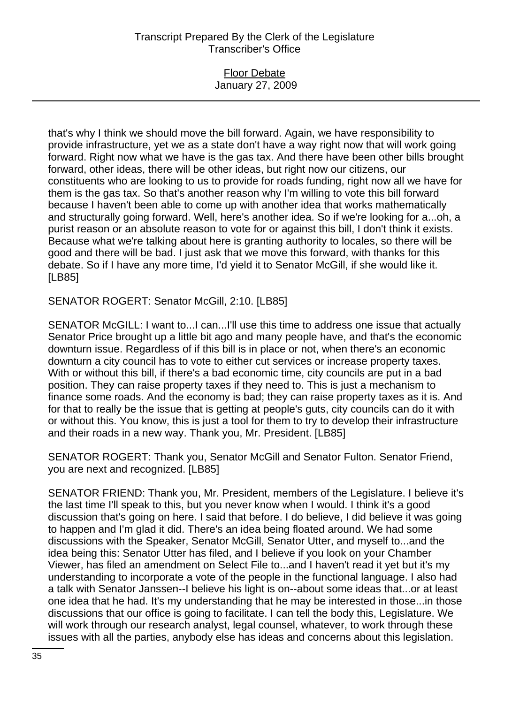### Floor Debate January 27, 2009

that's why I think we should move the bill forward. Again, we have responsibility to provide infrastructure, yet we as a state don't have a way right now that will work going forward. Right now what we have is the gas tax. And there have been other bills brought forward, other ideas, there will be other ideas, but right now our citizens, our constituents who are looking to us to provide for roads funding, right now all we have for them is the gas tax. So that's another reason why I'm willing to vote this bill forward because I haven't been able to come up with another idea that works mathematically and structurally going forward. Well, here's another idea. So if we're looking for a...oh, a purist reason or an absolute reason to vote for or against this bill, I don't think it exists. Because what we're talking about here is granting authority to locales, so there will be good and there will be bad. I just ask that we move this forward, with thanks for this debate. So if I have any more time, I'd yield it to Senator McGill, if she would like it. [LB85]

SENATOR ROGERT: Senator McGill, 2:10. [LB85]

SENATOR McGILL: I want to...I can...I'll use this time to address one issue that actually Senator Price brought up a little bit ago and many people have, and that's the economic downturn issue. Regardless of if this bill is in place or not, when there's an economic downturn a city council has to vote to either cut services or increase property taxes. With or without this bill, if there's a bad economic time, city councils are put in a bad position. They can raise property taxes if they need to. This is just a mechanism to finance some roads. And the economy is bad; they can raise property taxes as it is. And for that to really be the issue that is getting at people's guts, city councils can do it with or without this. You know, this is just a tool for them to try to develop their infrastructure and their roads in a new way. Thank you, Mr. President. [LB85]

SENATOR ROGERT: Thank you, Senator McGill and Senator Fulton. Senator Friend, you are next and recognized. [LB85]

SENATOR FRIEND: Thank you, Mr. President, members of the Legislature. I believe it's the last time I'll speak to this, but you never know when I would. I think it's a good discussion that's going on here. I said that before. I do believe, I did believe it was going to happen and I'm glad it did. There's an idea being floated around. We had some discussions with the Speaker, Senator McGill, Senator Utter, and myself to...and the idea being this: Senator Utter has filed, and I believe if you look on your Chamber Viewer, has filed an amendment on Select File to...and I haven't read it yet but it's my understanding to incorporate a vote of the people in the functional language. I also had a talk with Senator Janssen--I believe his light is on--about some ideas that...or at least one idea that he had. It's my understanding that he may be interested in those...in those discussions that our office is going to facilitate. I can tell the body this, Legislature. We will work through our research analyst, legal counsel, whatever, to work through these issues with all the parties, anybody else has ideas and concerns about this legislation.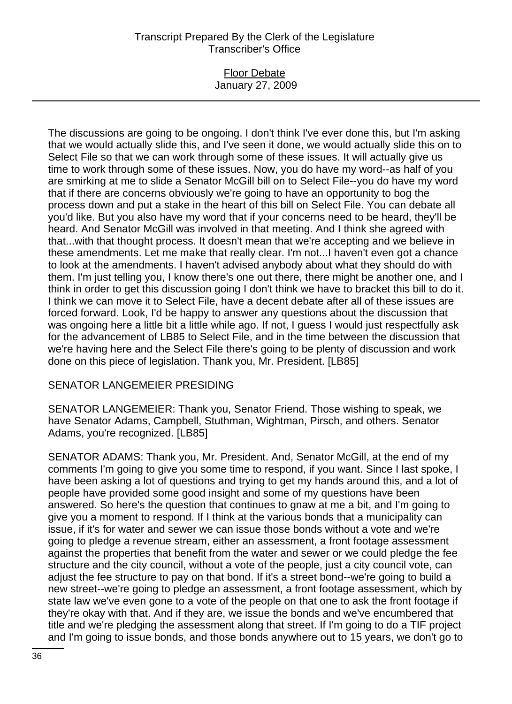### Floor Debate January 27, 2009

The discussions are going to be ongoing. I don't think I've ever done this, but I'm asking that we would actually slide this, and I've seen it done, we would actually slide this on to Select File so that we can work through some of these issues. It will actually give us time to work through some of these issues. Now, you do have my word--as half of you are smirking at me to slide a Senator McGill bill on to Select File--you do have my word that if there are concerns obviously we're going to have an opportunity to bog the process down and put a stake in the heart of this bill on Select File. You can debate all you'd like. But you also have my word that if your concerns need to be heard, they'll be heard. And Senator McGill was involved in that meeting. And I think she agreed with that...with that thought process. It doesn't mean that we're accepting and we believe in these amendments. Let me make that really clear. I'm not...I haven't even got a chance to look at the amendments. I haven't advised anybody about what they should do with them. I'm just telling you, I know there's one out there, there might be another one, and I think in order to get this discussion going I don't think we have to bracket this bill to do it. I think we can move it to Select File, have a decent debate after all of these issues are forced forward. Look, I'd be happy to answer any questions about the discussion that was ongoing here a little bit a little while ago. If not, I guess I would just respectfully ask for the advancement of LB85 to Select File, and in the time between the discussion that we're having here and the Select File there's going to be plenty of discussion and work done on this piece of legislation. Thank you, Mr. President. [LB85]

## SENATOR LANGEMEIER PRESIDING

SENATOR LANGEMEIER: Thank you, Senator Friend. Those wishing to speak, we have Senator Adams, Campbell, Stuthman, Wightman, Pirsch, and others. Senator Adams, you're recognized. [LB85]

SENATOR ADAMS: Thank you, Mr. President. And, Senator McGill, at the end of my comments I'm going to give you some time to respond, if you want. Since I last spoke, I have been asking a lot of questions and trying to get my hands around this, and a lot of people have provided some good insight and some of my questions have been answered. So here's the question that continues to gnaw at me a bit, and I'm going to give you a moment to respond. If I think at the various bonds that a municipality can issue, if it's for water and sewer we can issue those bonds without a vote and we're going to pledge a revenue stream, either an assessment, a front footage assessment against the properties that benefit from the water and sewer or we could pledge the fee structure and the city council, without a vote of the people, just a city council vote, can adjust the fee structure to pay on that bond. If it's a street bond--we're going to build a new street--we're going to pledge an assessment, a front footage assessment, which by state law we've even gone to a vote of the people on that one to ask the front footage if they're okay with that. And if they are, we issue the bonds and we've encumbered that title and we're pledging the assessment along that street. If I'm going to do a TIF project and I'm going to issue bonds, and those bonds anywhere out to 15 years, we don't go to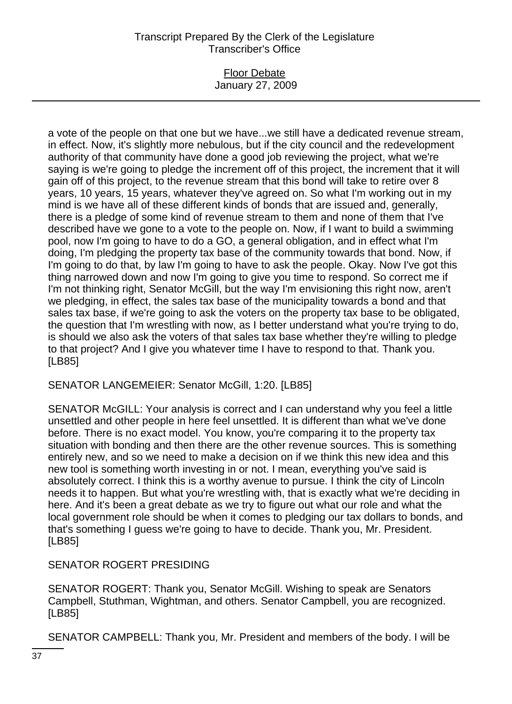### Floor Debate January 27, 2009

a vote of the people on that one but we have...we still have a dedicated revenue stream, in effect. Now, it's slightly more nebulous, but if the city council and the redevelopment authority of that community have done a good job reviewing the project, what we're saying is we're going to pledge the increment off of this project, the increment that it will gain off of this project, to the revenue stream that this bond will take to retire over 8 years, 10 years, 15 years, whatever they've agreed on. So what I'm working out in my mind is we have all of these different kinds of bonds that are issued and, generally, there is a pledge of some kind of revenue stream to them and none of them that I've described have we gone to a vote to the people on. Now, if I want to build a swimming pool, now I'm going to have to do a GO, a general obligation, and in effect what I'm doing, I'm pledging the property tax base of the community towards that bond. Now, if I'm going to do that, by law I'm going to have to ask the people. Okay. Now I've got this thing narrowed down and now I'm going to give you time to respond. So correct me if I'm not thinking right, Senator McGill, but the way I'm envisioning this right now, aren't we pledging, in effect, the sales tax base of the municipality towards a bond and that sales tax base, if we're going to ask the voters on the property tax base to be obligated, the question that I'm wrestling with now, as I better understand what you're trying to do, is should we also ask the voters of that sales tax base whether they're willing to pledge to that project? And I give you whatever time I have to respond to that. Thank you. [LB85]

SENATOR LANGEMEIER: Senator McGill, 1:20. [LB85]

SENATOR McGILL: Your analysis is correct and I can understand why you feel a little unsettled and other people in here feel unsettled. It is different than what we've done before. There is no exact model. You know, you're comparing it to the property tax situation with bonding and then there are the other revenue sources. This is something entirely new, and so we need to make a decision on if we think this new idea and this new tool is something worth investing in or not. I mean, everything you've said is absolutely correct. I think this is a worthy avenue to pursue. I think the city of Lincoln needs it to happen. But what you're wrestling with, that is exactly what we're deciding in here. And it's been a great debate as we try to figure out what our role and what the local government role should be when it comes to pledging our tax dollars to bonds, and that's something I guess we're going to have to decide. Thank you, Mr. President. [LB85]

SENATOR ROGERT PRESIDING

SENATOR ROGERT: Thank you, Senator McGill. Wishing to speak are Senators Campbell, Stuthman, Wightman, and others. Senator Campbell, you are recognized. [LB85]

SENATOR CAMPBELL: Thank you, Mr. President and members of the body. I will be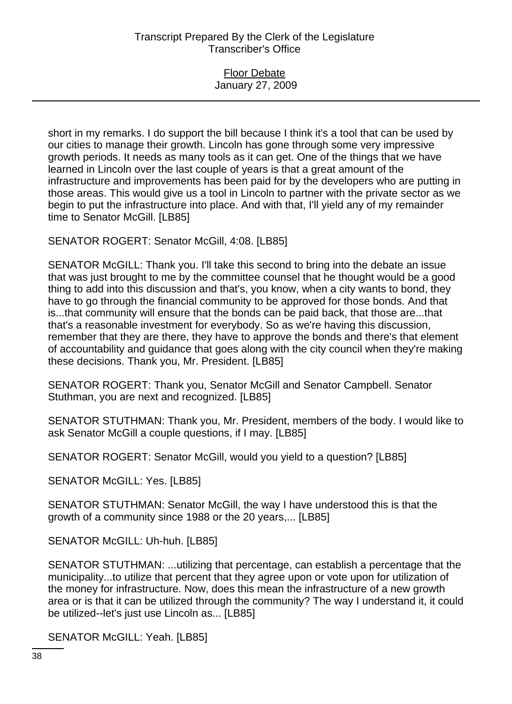### Floor Debate January 27, 2009

short in my remarks. I do support the bill because I think it's a tool that can be used by our cities to manage their growth. Lincoln has gone through some very impressive growth periods. It needs as many tools as it can get. One of the things that we have learned in Lincoln over the last couple of years is that a great amount of the infrastructure and improvements has been paid for by the developers who are putting in those areas. This would give us a tool in Lincoln to partner with the private sector as we begin to put the infrastructure into place. And with that, I'll yield any of my remainder time to Senator McGill. [LB85]

SENATOR ROGERT: Senator McGill, 4:08. [LB85]

SENATOR McGILL: Thank you. I'll take this second to bring into the debate an issue that was just brought to me by the committee counsel that he thought would be a good thing to add into this discussion and that's, you know, when a city wants to bond, they have to go through the financial community to be approved for those bonds. And that is...that community will ensure that the bonds can be paid back, that those are...that that's a reasonable investment for everybody. So as we're having this discussion, remember that they are there, they have to approve the bonds and there's that element of accountability and guidance that goes along with the city council when they're making these decisions. Thank you, Mr. President. [LB85]

SENATOR ROGERT: Thank you, Senator McGill and Senator Campbell. Senator Stuthman, you are next and recognized. [LB85]

SENATOR STUTHMAN: Thank you, Mr. President, members of the body. I would like to ask Senator McGill a couple questions, if I may. [LB85]

SENATOR ROGERT: Senator McGill, would you yield to a question? [LB85]

SENATOR McGILL: Yes. [LB85]

SENATOR STUTHMAN: Senator McGill, the way I have understood this is that the growth of a community since 1988 or the 20 years,... [LB85]

SENATOR McGILL: Uh-huh. [LB85]

SENATOR STUTHMAN: ...utilizing that percentage, can establish a percentage that the municipality...to utilize that percent that they agree upon or vote upon for utilization of the money for infrastructure. Now, does this mean the infrastructure of a new growth area or is that it can be utilized through the community? The way I understand it, it could be utilized--let's just use Lincoln as... [LB85]

SENATOR McGILL: Yeah. [LB85]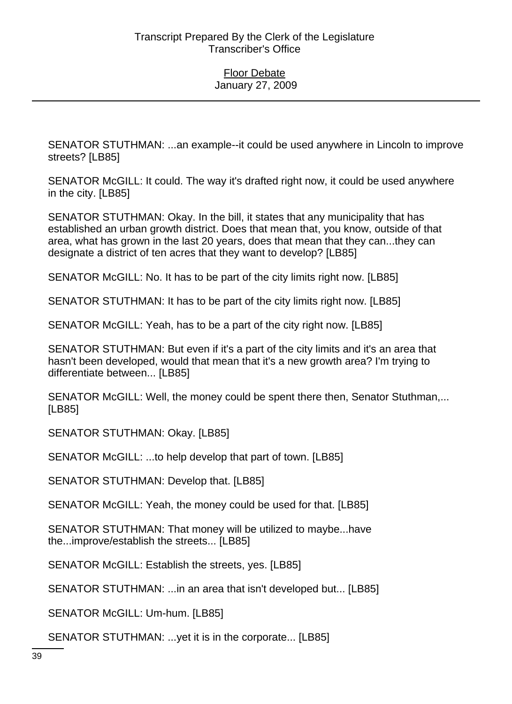SENATOR STUTHMAN: ...an example--it could be used anywhere in Lincoln to improve streets? [LB85]

SENATOR McGILL: It could. The way it's drafted right now, it could be used anywhere in the city. [LB85]

SENATOR STUTHMAN: Okay. In the bill, it states that any municipality that has established an urban growth district. Does that mean that, you know, outside of that area, what has grown in the last 20 years, does that mean that they can...they can designate a district of ten acres that they want to develop? [LB85]

SENATOR McGILL: No. It has to be part of the city limits right now. [LB85]

SENATOR STUTHMAN: It has to be part of the city limits right now. [LB85]

SENATOR McGILL: Yeah, has to be a part of the city right now. [LB85]

SENATOR STUTHMAN: But even if it's a part of the city limits and it's an area that hasn't been developed, would that mean that it's a new growth area? I'm trying to differentiate between... [LB85]

SENATOR McGILL: Well, the money could be spent there then, Senator Stuthman,... [LB85]

SENATOR STUTHMAN: Okay. [LB85]

SENATOR McGILL: ...to help develop that part of town. [LB85]

SENATOR STUTHMAN: Develop that. [LB85]

SENATOR McGILL: Yeah, the money could be used for that. [LB85]

SENATOR STUTHMAN: That money will be utilized to maybe...have the...improve/establish the streets... [LB85]

SENATOR McGILL: Establish the streets, yes. [LB85]

SENATOR STUTHMAN: ...in an area that isn't developed but... [LB85]

SENATOR McGILL: Um-hum. [LB85]

SENATOR STUTHMAN: ...yet it is in the corporate... [LB85]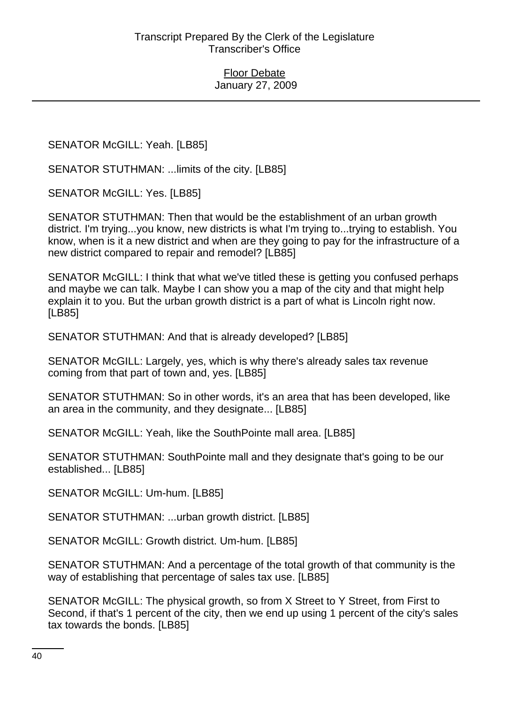SENATOR McGILL: Yeah. [LB85]

SENATOR STUTHMAN: ...limits of the city. [LB85]

SENATOR McGILL: Yes. [LB85]

SENATOR STUTHMAN: Then that would be the establishment of an urban growth district. I'm trying...you know, new districts is what I'm trying to...trying to establish. You know, when is it a new district and when are they going to pay for the infrastructure of a new district compared to repair and remodel? [LB85]

SENATOR McGILL: I think that what we've titled these is getting you confused perhaps and maybe we can talk. Maybe I can show you a map of the city and that might help explain it to you. But the urban growth district is a part of what is Lincoln right now. [LB85]

SENATOR STUTHMAN: And that is already developed? [LB85]

SENATOR McGILL: Largely, yes, which is why there's already sales tax revenue coming from that part of town and, yes. [LB85]

SENATOR STUTHMAN: So in other words, it's an area that has been developed, like an area in the community, and they designate... [LB85]

SENATOR McGILL: Yeah, like the SouthPointe mall area. [LB85]

SENATOR STUTHMAN: SouthPointe mall and they designate that's going to be our established... [LB85]

SENATOR McGILL: Um-hum. [LB85]

SENATOR STUTHMAN: ...urban growth district. [LB85]

SENATOR McGILL: Growth district. Um-hum. [LB85]

SENATOR STUTHMAN: And a percentage of the total growth of that community is the way of establishing that percentage of sales tax use. [LB85]

SENATOR McGILL: The physical growth, so from X Street to Y Street, from First to Second, if that's 1 percent of the city, then we end up using 1 percent of the city's sales tax towards the bonds. [LB85]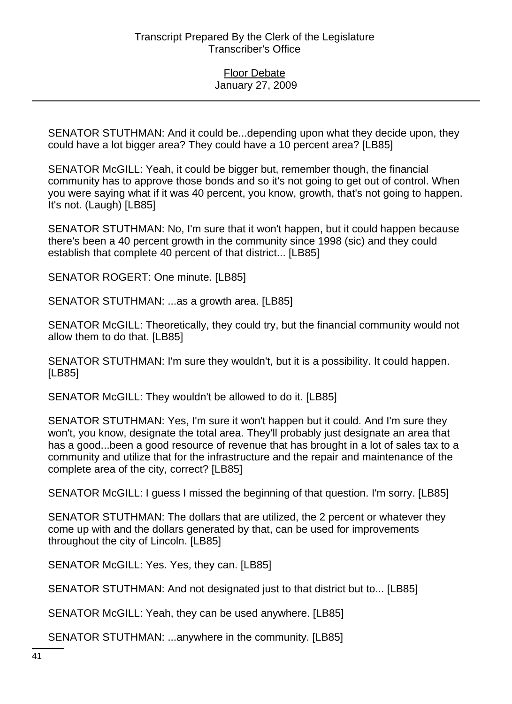SENATOR STUTHMAN: And it could be...depending upon what they decide upon, they could have a lot bigger area? They could have a 10 percent area? [LB85]

SENATOR McGILL: Yeah, it could be bigger but, remember though, the financial community has to approve those bonds and so it's not going to get out of control. When you were saying what if it was 40 percent, you know, growth, that's not going to happen. It's not. (Laugh) [LB85]

SENATOR STUTHMAN: No, I'm sure that it won't happen, but it could happen because there's been a 40 percent growth in the community since 1998 (sic) and they could establish that complete 40 percent of that district... [LB85]

SENATOR ROGERT: One minute. [LB85]

SENATOR STUTHMAN: ...as a growth area. [LB85]

SENATOR McGILL: Theoretically, they could try, but the financial community would not allow them to do that. [LB85]

SENATOR STUTHMAN: I'm sure they wouldn't, but it is a possibility. It could happen. [LB85]

SENATOR McGILL: They wouldn't be allowed to do it. [LB85]

SENATOR STUTHMAN: Yes, I'm sure it won't happen but it could. And I'm sure they won't, you know, designate the total area. They'll probably just designate an area that has a good...been a good resource of revenue that has brought in a lot of sales tax to a community and utilize that for the infrastructure and the repair and maintenance of the complete area of the city, correct? [LB85]

SENATOR McGILL: I guess I missed the beginning of that question. I'm sorry. [LB85]

SENATOR STUTHMAN: The dollars that are utilized, the 2 percent or whatever they come up with and the dollars generated by that, can be used for improvements throughout the city of Lincoln. [LB85]

SENATOR McGILL: Yes. Yes, they can. [LB85]

SENATOR STUTHMAN: And not designated just to that district but to... [LB85]

SENATOR McGILL: Yeah, they can be used anywhere. [LB85]

SENATOR STUTHMAN: ...anywhere in the community. [LB85]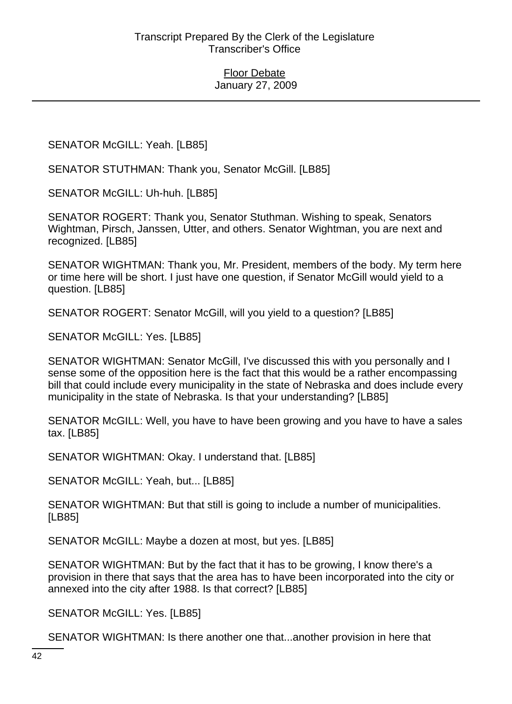SENATOR McGILL: Yeah. [LB85]

SENATOR STUTHMAN: Thank you, Senator McGill. [LB85]

SENATOR McGILL: Uh-huh. [LB85]

SENATOR ROGERT: Thank you, Senator Stuthman. Wishing to speak, Senators Wightman, Pirsch, Janssen, Utter, and others. Senator Wightman, you are next and recognized. [LB85]

SENATOR WIGHTMAN: Thank you, Mr. President, members of the body. My term here or time here will be short. I just have one question, if Senator McGill would yield to a question. [LB85]

SENATOR ROGERT: Senator McGill, will you yield to a question? [LB85]

SENATOR McGILL: Yes. [LB85]

SENATOR WIGHTMAN: Senator McGill, I've discussed this with you personally and I sense some of the opposition here is the fact that this would be a rather encompassing bill that could include every municipality in the state of Nebraska and does include every municipality in the state of Nebraska. Is that your understanding? [LB85]

SENATOR McGILL: Well, you have to have been growing and you have to have a sales tax. [LB85]

SENATOR WIGHTMAN: Okay. I understand that. [LB85]

SENATOR McGILL: Yeah, but... [LB85]

SENATOR WIGHTMAN: But that still is going to include a number of municipalities. [LB85]

SENATOR McGILL: Maybe a dozen at most, but yes. [LB85]

SENATOR WIGHTMAN: But by the fact that it has to be growing, I know there's a provision in there that says that the area has to have been incorporated into the city or annexed into the city after 1988. Is that correct? [LB85]

SENATOR McGILL: Yes. [LB85]

SENATOR WIGHTMAN: Is there another one that...another provision in here that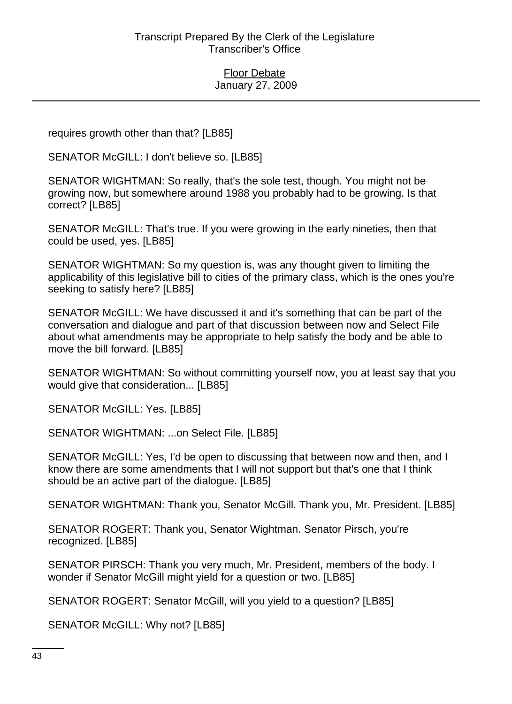requires growth other than that? [LB85]

SENATOR McGILL: I don't believe so. [LB85]

SENATOR WIGHTMAN: So really, that's the sole test, though. You might not be growing now, but somewhere around 1988 you probably had to be growing. Is that correct? [LB85]

SENATOR McGILL: That's true. If you were growing in the early nineties, then that could be used, yes. [LB85]

SENATOR WIGHTMAN: So my question is, was any thought given to limiting the applicability of this legislative bill to cities of the primary class, which is the ones you're seeking to satisfy here? [LB85]

SENATOR McGILL: We have discussed it and it's something that can be part of the conversation and dialogue and part of that discussion between now and Select File about what amendments may be appropriate to help satisfy the body and be able to move the bill forward. [LB85]

SENATOR WIGHTMAN: So without committing yourself now, you at least say that you would give that consideration... [LB85]

SENATOR McGILL: Yes. [LB85]

SENATOR WIGHTMAN: ...on Select File. [LB85]

SENATOR McGILL: Yes, I'd be open to discussing that between now and then, and I know there are some amendments that I will not support but that's one that I think should be an active part of the dialogue. [LB85]

SENATOR WIGHTMAN: Thank you, Senator McGill. Thank you, Mr. President. [LB85]

SENATOR ROGERT: Thank you, Senator Wightman. Senator Pirsch, you're recognized. [LB85]

SENATOR PIRSCH: Thank you very much, Mr. President, members of the body. I wonder if Senator McGill might yield for a question or two. [LB85]

SENATOR ROGERT: Senator McGill, will you yield to a question? [LB85]

SENATOR McGILL: Why not? [LB85]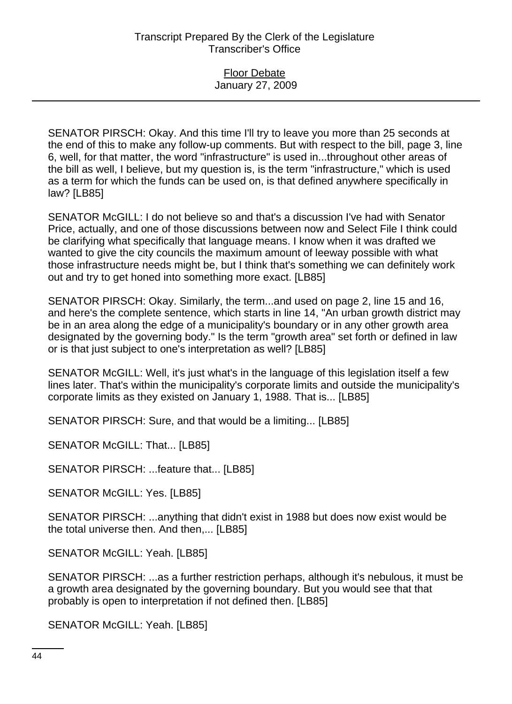### Floor Debate January 27, 2009

SENATOR PIRSCH: Okay. And this time I'll try to leave you more than 25 seconds at the end of this to make any follow-up comments. But with respect to the bill, page 3, line 6, well, for that matter, the word "infrastructure" is used in...throughout other areas of the bill as well, I believe, but my question is, is the term "infrastructure," which is used as a term for which the funds can be used on, is that defined anywhere specifically in law? [LB85]

SENATOR McGILL: I do not believe so and that's a discussion I've had with Senator Price, actually, and one of those discussions between now and Select File I think could be clarifying what specifically that language means. I know when it was drafted we wanted to give the city councils the maximum amount of leeway possible with what those infrastructure needs might be, but I think that's something we can definitely work out and try to get honed into something more exact. [LB85]

SENATOR PIRSCH: Okay. Similarly, the term...and used on page 2, line 15 and 16, and here's the complete sentence, which starts in line 14, "An urban growth district may be in an area along the edge of a municipality's boundary or in any other growth area designated by the governing body." Is the term "growth area" set forth or defined in law or is that just subject to one's interpretation as well? [LB85]

SENATOR McGILL: Well, it's just what's in the language of this legislation itself a few lines later. That's within the municipality's corporate limits and outside the municipality's corporate limits as they existed on January 1, 1988. That is... [LB85]

SENATOR PIRSCH: Sure, and that would be a limiting... [LB85]

SENATOR McGILL: That... [LB85]

SENATOR PIRSCH: ...feature that... [LB85]

SENATOR McGILL: Yes. [LB85]

SENATOR PIRSCH: ...anything that didn't exist in 1988 but does now exist would be the total universe then. And then,... [LB85]

SENATOR McGILL: Yeah. [LB85]

SENATOR PIRSCH: ...as a further restriction perhaps, although it's nebulous, it must be a growth area designated by the governing boundary. But you would see that that probably is open to interpretation if not defined then. [LB85]

SENATOR McGILL: Yeah. [LB85]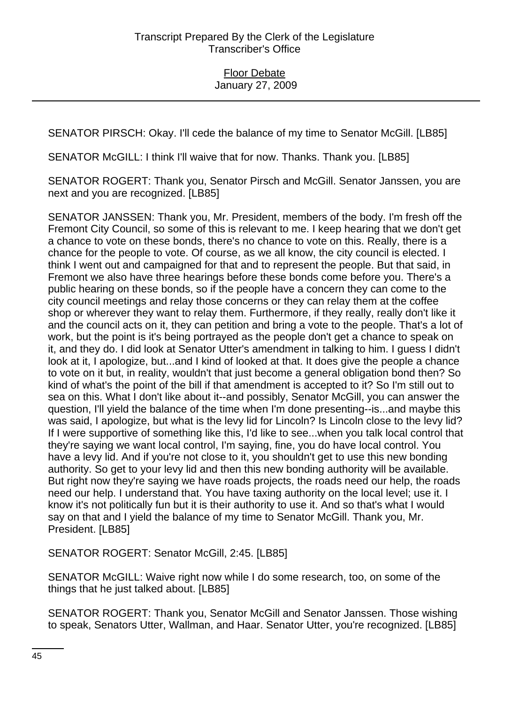SENATOR PIRSCH: Okay. I'll cede the balance of my time to Senator McGill. [LB85]

SENATOR McGILL: I think I'll waive that for now. Thanks. Thank you. [LB85]

SENATOR ROGERT: Thank you, Senator Pirsch and McGill. Senator Janssen, you are next and you are recognized. [LB85]

SENATOR JANSSEN: Thank you, Mr. President, members of the body. I'm fresh off the Fremont City Council, so some of this is relevant to me. I keep hearing that we don't get a chance to vote on these bonds, there's no chance to vote on this. Really, there is a chance for the people to vote. Of course, as we all know, the city council is elected. I think I went out and campaigned for that and to represent the people. But that said, in Fremont we also have three hearings before these bonds come before you. There's a public hearing on these bonds, so if the people have a concern they can come to the city council meetings and relay those concerns or they can relay them at the coffee shop or wherever they want to relay them. Furthermore, if they really, really don't like it and the council acts on it, they can petition and bring a vote to the people. That's a lot of work, but the point is it's being portrayed as the people don't get a chance to speak on it, and they do. I did look at Senator Utter's amendment in talking to him. I guess I didn't look at it, I apologize, but...and I kind of looked at that. It does give the people a chance to vote on it but, in reality, wouldn't that just become a general obligation bond then? So kind of what's the point of the bill if that amendment is accepted to it? So I'm still out to sea on this. What I don't like about it--and possibly, Senator McGill, you can answer the question, I'll yield the balance of the time when I'm done presenting--is...and maybe this was said, I apologize, but what is the levy lid for Lincoln? Is Lincoln close to the levy lid? If I were supportive of something like this, I'd like to see...when you talk local control that they're saying we want local control, I'm saying, fine, you do have local control. You have a levy lid. And if you're not close to it, you shouldn't get to use this new bonding authority. So get to your levy lid and then this new bonding authority will be available. But right now they're saying we have roads projects, the roads need our help, the roads need our help. I understand that. You have taxing authority on the local level; use it. I know it's not politically fun but it is their authority to use it. And so that's what I would say on that and I yield the balance of my time to Senator McGill. Thank you, Mr. President. [LB85]

SENATOR ROGERT: Senator McGill, 2:45. [LB85]

SENATOR McGILL: Waive right now while I do some research, too, on some of the things that he just talked about. [LB85]

SENATOR ROGERT: Thank you, Senator McGill and Senator Janssen. Those wishing to speak, Senators Utter, Wallman, and Haar. Senator Utter, you're recognized. [LB85]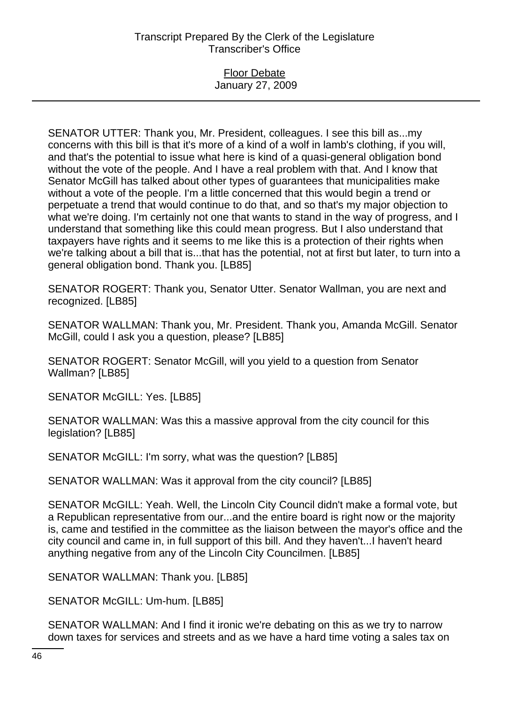### Floor Debate January 27, 2009

SENATOR UTTER: Thank you, Mr. President, colleagues. I see this bill as...my concerns with this bill is that it's more of a kind of a wolf in lamb's clothing, if you will, and that's the potential to issue what here is kind of a quasi-general obligation bond without the vote of the people. And I have a real problem with that. And I know that Senator McGill has talked about other types of guarantees that municipalities make without a vote of the people. I'm a little concerned that this would begin a trend or perpetuate a trend that would continue to do that, and so that's my major objection to what we're doing. I'm certainly not one that wants to stand in the way of progress, and I understand that something like this could mean progress. But I also understand that taxpayers have rights and it seems to me like this is a protection of their rights when we're talking about a bill that is...that has the potential, not at first but later, to turn into a general obligation bond. Thank you. [LB85]

SENATOR ROGERT: Thank you, Senator Utter. Senator Wallman, you are next and recognized. [LB85]

SENATOR WALLMAN: Thank you, Mr. President. Thank you, Amanda McGill. Senator McGill, could I ask you a question, please? [LB85]

SENATOR ROGERT: Senator McGill, will you yield to a question from Senator Wallman? [LB85]

SENATOR McGILL: Yes. [LB85]

SENATOR WALLMAN: Was this a massive approval from the city council for this legislation? [LB85]

SENATOR McGILL: I'm sorry, what was the question? [LB85]

SENATOR WALLMAN: Was it approval from the city council? [LB85]

SENATOR McGILL: Yeah. Well, the Lincoln City Council didn't make a formal vote, but a Republican representative from our...and the entire board is right now or the majority is, came and testified in the committee as the liaison between the mayor's office and the city council and came in, in full support of this bill. And they haven't...I haven't heard anything negative from any of the Lincoln City Councilmen. [LB85]

SENATOR WALLMAN: Thank you. [LB85]

SENATOR McGILL: Um-hum. [LB85]

SENATOR WALLMAN: And I find it ironic we're debating on this as we try to narrow down taxes for services and streets and as we have a hard time voting a sales tax on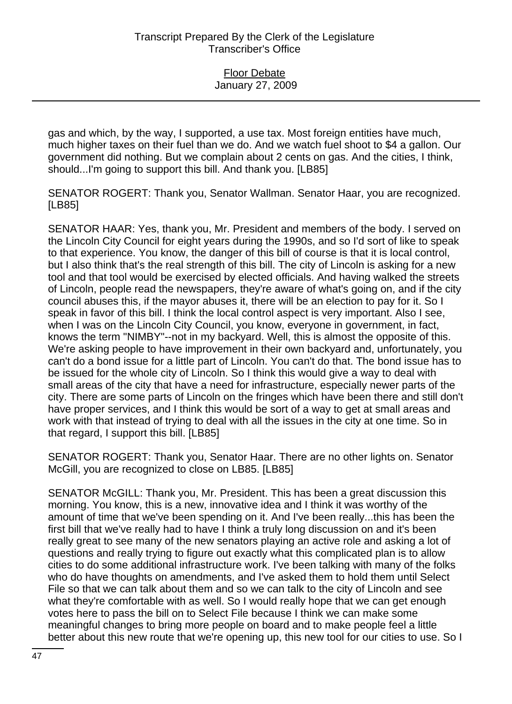gas and which, by the way, I supported, a use tax. Most foreign entities have much, much higher taxes on their fuel than we do. And we watch fuel shoot to \$4 a gallon. Our government did nothing. But we complain about 2 cents on gas. And the cities, I think, should...I'm going to support this bill. And thank you. [LB85]

SENATOR ROGERT: Thank you, Senator Wallman. Senator Haar, you are recognized. [LB85]

SENATOR HAAR: Yes, thank you, Mr. President and members of the body. I served on the Lincoln City Council for eight years during the 1990s, and so I'd sort of like to speak to that experience. You know, the danger of this bill of course is that it is local control, but I also think that's the real strength of this bill. The city of Lincoln is asking for a new tool and that tool would be exercised by elected officials. And having walked the streets of Lincoln, people read the newspapers, they're aware of what's going on, and if the city council abuses this, if the mayor abuses it, there will be an election to pay for it. So I speak in favor of this bill. I think the local control aspect is very important. Also I see, when I was on the Lincoln City Council, you know, everyone in government, in fact, knows the term "NIMBY"--not in my backyard. Well, this is almost the opposite of this. We're asking people to have improvement in their own backyard and, unfortunately, you can't do a bond issue for a little part of Lincoln. You can't do that. The bond issue has to be issued for the whole city of Lincoln. So I think this would give a way to deal with small areas of the city that have a need for infrastructure, especially newer parts of the city. There are some parts of Lincoln on the fringes which have been there and still don't have proper services, and I think this would be sort of a way to get at small areas and work with that instead of trying to deal with all the issues in the city at one time. So in that regard, I support this bill. [LB85]

SENATOR ROGERT: Thank you, Senator Haar. There are no other lights on. Senator McGill, you are recognized to close on LB85. [LB85]

SENATOR McGILL: Thank you, Mr. President. This has been a great discussion this morning. You know, this is a new, innovative idea and I think it was worthy of the amount of time that we've been spending on it. And I've been really...this has been the first bill that we've really had to have I think a truly long discussion on and it's been really great to see many of the new senators playing an active role and asking a lot of questions and really trying to figure out exactly what this complicated plan is to allow cities to do some additional infrastructure work. I've been talking with many of the folks who do have thoughts on amendments, and I've asked them to hold them until Select File so that we can talk about them and so we can talk to the city of Lincoln and see what they're comfortable with as well. So I would really hope that we can get enough votes here to pass the bill on to Select File because I think we can make some meaningful changes to bring more people on board and to make people feel a little better about this new route that we're opening up, this new tool for our cities to use. So I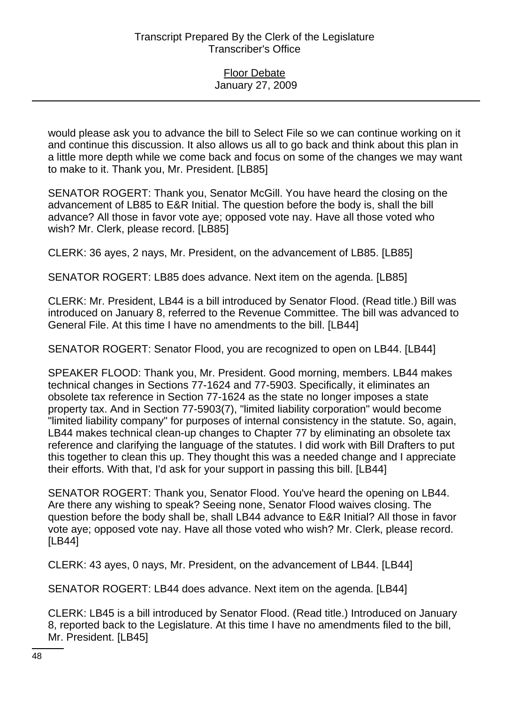would please ask you to advance the bill to Select File so we can continue working on it and continue this discussion. It also allows us all to go back and think about this plan in a little more depth while we come back and focus on some of the changes we may want to make to it. Thank you, Mr. President. [LB85]

SENATOR ROGERT: Thank you, Senator McGill. You have heard the closing on the advancement of LB85 to E&R Initial. The question before the body is, shall the bill advance? All those in favor vote aye; opposed vote nay. Have all those voted who wish? Mr. Clerk, please record. [LB85]

CLERK: 36 ayes, 2 nays, Mr. President, on the advancement of LB85. [LB85]

SENATOR ROGERT: LB85 does advance. Next item on the agenda. [LB85]

CLERK: Mr. President, LB44 is a bill introduced by Senator Flood. (Read title.) Bill was introduced on January 8, referred to the Revenue Committee. The bill was advanced to General File. At this time I have no amendments to the bill. [LB44]

SENATOR ROGERT: Senator Flood, you are recognized to open on LB44. [LB44]

SPEAKER FLOOD: Thank you, Mr. President. Good morning, members. LB44 makes technical changes in Sections 77-1624 and 77-5903. Specifically, it eliminates an obsolete tax reference in Section 77-1624 as the state no longer imposes a state property tax. And in Section 77-5903(7), "limited liability corporation" would become "limited liability company" for purposes of internal consistency in the statute. So, again, LB44 makes technical clean-up changes to Chapter 77 by eliminating an obsolete tax reference and clarifying the language of the statutes. I did work with Bill Drafters to put this together to clean this up. They thought this was a needed change and I appreciate their efforts. With that, I'd ask for your support in passing this bill. [LB44]

SENATOR ROGERT: Thank you, Senator Flood. You've heard the opening on LB44. Are there any wishing to speak? Seeing none, Senator Flood waives closing. The question before the body shall be, shall LB44 advance to E&R Initial? All those in favor vote aye; opposed vote nay. Have all those voted who wish? Mr. Clerk, please record. [LB44]

CLERK: 43 ayes, 0 nays, Mr. President, on the advancement of LB44. [LB44]

SENATOR ROGERT: LB44 does advance. Next item on the agenda. [LB44]

CLERK: LB45 is a bill introduced by Senator Flood. (Read title.) Introduced on January 8, reported back to the Legislature. At this time I have no amendments filed to the bill, Mr. President. [LB45]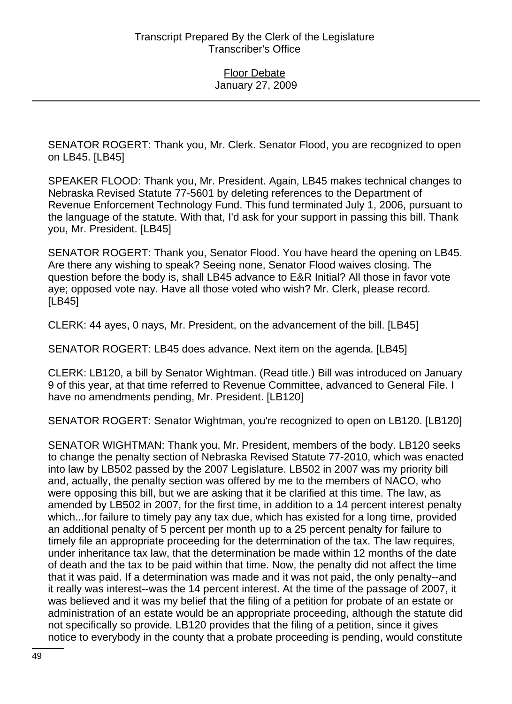SENATOR ROGERT: Thank you, Mr. Clerk. Senator Flood, you are recognized to open on LB45. [LB45]

SPEAKER FLOOD: Thank you, Mr. President. Again, LB45 makes technical changes to Nebraska Revised Statute 77-5601 by deleting references to the Department of Revenue Enforcement Technology Fund. This fund terminated July 1, 2006, pursuant to the language of the statute. With that, I'd ask for your support in passing this bill. Thank you, Mr. President. [LB45]

SENATOR ROGERT: Thank you, Senator Flood. You have heard the opening on LB45. Are there any wishing to speak? Seeing none, Senator Flood waives closing. The question before the body is, shall LB45 advance to E&R Initial? All those in favor vote aye; opposed vote nay. Have all those voted who wish? Mr. Clerk, please record. [LB45]

CLERK: 44 ayes, 0 nays, Mr. President, on the advancement of the bill. [LB45]

SENATOR ROGERT: LB45 does advance. Next item on the agenda. [LB45]

CLERK: LB120, a bill by Senator Wightman. (Read title.) Bill was introduced on January 9 of this year, at that time referred to Revenue Committee, advanced to General File. I have no amendments pending, Mr. President. [LB120]

SENATOR ROGERT: Senator Wightman, you're recognized to open on LB120. [LB120]

SENATOR WIGHTMAN: Thank you, Mr. President, members of the body. LB120 seeks to change the penalty section of Nebraska Revised Statute 77-2010, which was enacted into law by LB502 passed by the 2007 Legislature. LB502 in 2007 was my priority bill and, actually, the penalty section was offered by me to the members of NACO, who were opposing this bill, but we are asking that it be clarified at this time. The law, as amended by LB502 in 2007, for the first time, in addition to a 14 percent interest penalty which...for failure to timely pay any tax due, which has existed for a long time, provided an additional penalty of 5 percent per month up to a 25 percent penalty for failure to timely file an appropriate proceeding for the determination of the tax. The law requires, under inheritance tax law, that the determination be made within 12 months of the date of death and the tax to be paid within that time. Now, the penalty did not affect the time that it was paid. If a determination was made and it was not paid, the only penalty--and it really was interest--was the 14 percent interest. At the time of the passage of 2007, it was believed and it was my belief that the filing of a petition for probate of an estate or administration of an estate would be an appropriate proceeding, although the statute did not specifically so provide. LB120 provides that the filing of a petition, since it gives notice to everybody in the county that a probate proceeding is pending, would constitute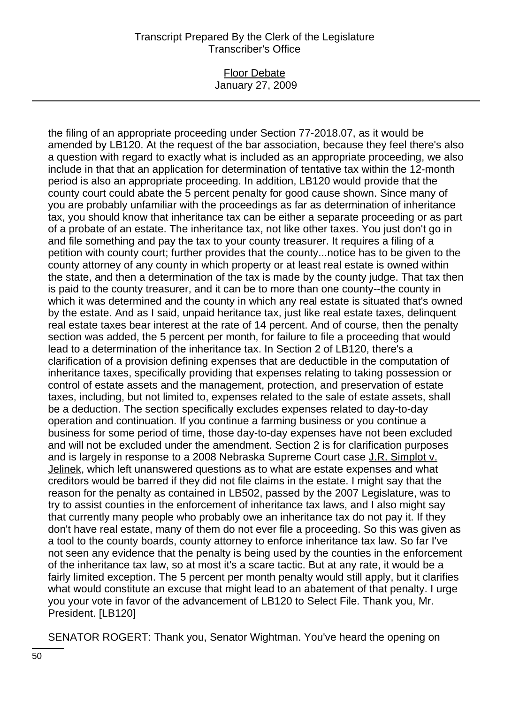#### Floor Debate January 27, 2009

the filing of an appropriate proceeding under Section 77-2018.07, as it would be amended by LB120. At the request of the bar association, because they feel there's also a question with regard to exactly what is included as an appropriate proceeding, we also include in that that an application for determination of tentative tax within the 12-month period is also an appropriate proceeding. In addition, LB120 would provide that the county court could abate the 5 percent penalty for good cause shown. Since many of you are probably unfamiliar with the proceedings as far as determination of inheritance tax, you should know that inheritance tax can be either a separate proceeding or as part of a probate of an estate. The inheritance tax, not like other taxes. You just don't go in and file something and pay the tax to your county treasurer. It requires a filing of a petition with county court; further provides that the county...notice has to be given to the county attorney of any county in which property or at least real estate is owned within the state, and then a determination of the tax is made by the county judge. That tax then is paid to the county treasurer, and it can be to more than one county--the county in which it was determined and the county in which any real estate is situated that's owned by the estate. And as I said, unpaid heritance tax, just like real estate taxes, delinquent real estate taxes bear interest at the rate of 14 percent. And of course, then the penalty section was added, the 5 percent per month, for failure to file a proceeding that would lead to a determination of the inheritance tax. In Section 2 of LB120, there's a clarification of a provision defining expenses that are deductible in the computation of inheritance taxes, specifically providing that expenses relating to taking possession or control of estate assets and the management, protection, and preservation of estate taxes, including, but not limited to, expenses related to the sale of estate assets, shall be a deduction. The section specifically excludes expenses related to day-to-day operation and continuation. If you continue a farming business or you continue a business for some period of time, those day-to-day expenses have not been excluded and will not be excluded under the amendment. Section 2 is for clarification purposes and is largely in response to a 2008 Nebraska Supreme Court case J.R. Simplot v. Jelinek, which left unanswered questions as to what are estate expenses and what creditors would be barred if they did not file claims in the estate. I might say that the reason for the penalty as contained in LB502, passed by the 2007 Legislature, was to try to assist counties in the enforcement of inheritance tax laws, and I also might say that currently many people who probably owe an inheritance tax do not pay it. If they don't have real estate, many of them do not ever file a proceeding. So this was given as a tool to the county boards, county attorney to enforce inheritance tax law. So far I've not seen any evidence that the penalty is being used by the counties in the enforcement of the inheritance tax law, so at most it's a scare tactic. But at any rate, it would be a fairly limited exception. The 5 percent per month penalty would still apply, but it clarifies what would constitute an excuse that might lead to an abatement of that penalty. I urge you your vote in favor of the advancement of LB120 to Select File. Thank you, Mr. President. [LB120]

SENATOR ROGERT: Thank you, Senator Wightman. You've heard the opening on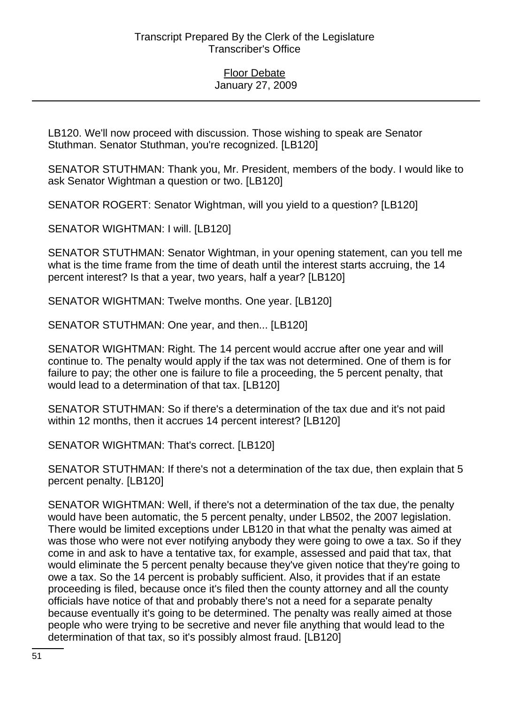LB120. We'll now proceed with discussion. Those wishing to speak are Senator Stuthman. Senator Stuthman, you're recognized. [LB120]

SENATOR STUTHMAN: Thank you, Mr. President, members of the body. I would like to ask Senator Wightman a question or two. [LB120]

SENATOR ROGERT: Senator Wightman, will you yield to a question? [LB120]

SENATOR WIGHTMAN: I will. [LB120]

SENATOR STUTHMAN: Senator Wightman, in your opening statement, can you tell me what is the time frame from the time of death until the interest starts accruing, the 14 percent interest? Is that a year, two years, half a year? [LB120]

SENATOR WIGHTMAN: Twelve months. One year. [LB120]

SENATOR STUTHMAN: One year, and then... [LB120]

SENATOR WIGHTMAN: Right. The 14 percent would accrue after one year and will continue to. The penalty would apply if the tax was not determined. One of them is for failure to pay; the other one is failure to file a proceeding, the 5 percent penalty, that would lead to a determination of that tax. [LB120]

SENATOR STUTHMAN: So if there's a determination of the tax due and it's not paid within 12 months, then it accrues 14 percent interest? [LB120]

SENATOR WIGHTMAN: That's correct. [LB120]

SENATOR STUTHMAN: If there's not a determination of the tax due, then explain that 5 percent penalty. [LB120]

SENATOR WIGHTMAN: Well, if there's not a determination of the tax due, the penalty would have been automatic, the 5 percent penalty, under LB502, the 2007 legislation. There would be limited exceptions under LB120 in that what the penalty was aimed at was those who were not ever notifying anybody they were going to owe a tax. So if they come in and ask to have a tentative tax, for example, assessed and paid that tax, that would eliminate the 5 percent penalty because they've given notice that they're going to owe a tax. So the 14 percent is probably sufficient. Also, it provides that if an estate proceeding is filed, because once it's filed then the county attorney and all the county officials have notice of that and probably there's not a need for a separate penalty because eventually it's going to be determined. The penalty was really aimed at those people who were trying to be secretive and never file anything that would lead to the determination of that tax, so it's possibly almost fraud. [LB120]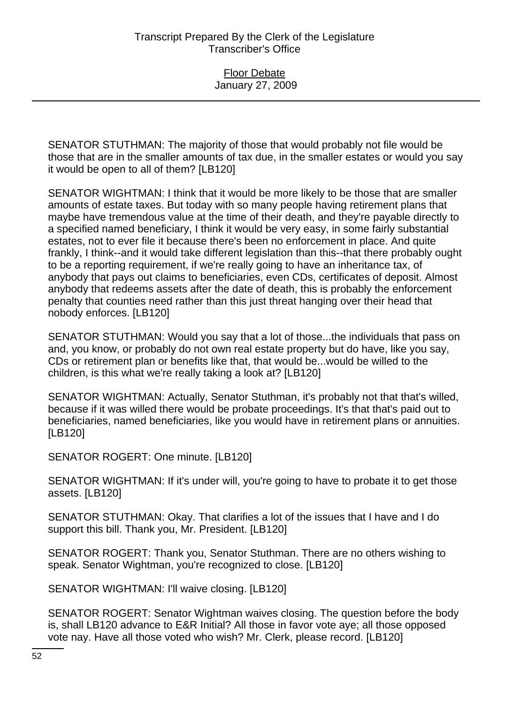SENATOR STUTHMAN: The majority of those that would probably not file would be those that are in the smaller amounts of tax due, in the smaller estates or would you say it would be open to all of them? [LB120]

SENATOR WIGHTMAN: I think that it would be more likely to be those that are smaller amounts of estate taxes. But today with so many people having retirement plans that maybe have tremendous value at the time of their death, and they're payable directly to a specified named beneficiary, I think it would be very easy, in some fairly substantial estates, not to ever file it because there's been no enforcement in place. And quite frankly, I think--and it would take different legislation than this--that there probably ought to be a reporting requirement, if we're really going to have an inheritance tax, of anybody that pays out claims to beneficiaries, even CDs, certificates of deposit. Almost anybody that redeems assets after the date of death, this is probably the enforcement penalty that counties need rather than this just threat hanging over their head that nobody enforces. [LB120]

SENATOR STUTHMAN: Would you say that a lot of those...the individuals that pass on and, you know, or probably do not own real estate property but do have, like you say, CDs or retirement plan or benefits like that, that would be...would be willed to the children, is this what we're really taking a look at? [LB120]

SENATOR WIGHTMAN: Actually, Senator Stuthman, it's probably not that that's willed, because if it was willed there would be probate proceedings. It's that that's paid out to beneficiaries, named beneficiaries, like you would have in retirement plans or annuities. [LB120]

SENATOR ROGERT: One minute. [LB120]

SENATOR WIGHTMAN: If it's under will, you're going to have to probate it to get those assets. [LB120]

SENATOR STUTHMAN: Okay. That clarifies a lot of the issues that I have and I do support this bill. Thank you, Mr. President. [LB120]

SENATOR ROGERT: Thank you, Senator Stuthman. There are no others wishing to speak. Senator Wightman, you're recognized to close. [LB120]

SENATOR WIGHTMAN: I'll waive closing. [LB120]

SENATOR ROGERT: Senator Wightman waives closing. The question before the body is, shall LB120 advance to E&R Initial? All those in favor vote aye; all those opposed vote nay. Have all those voted who wish? Mr. Clerk, please record. [LB120]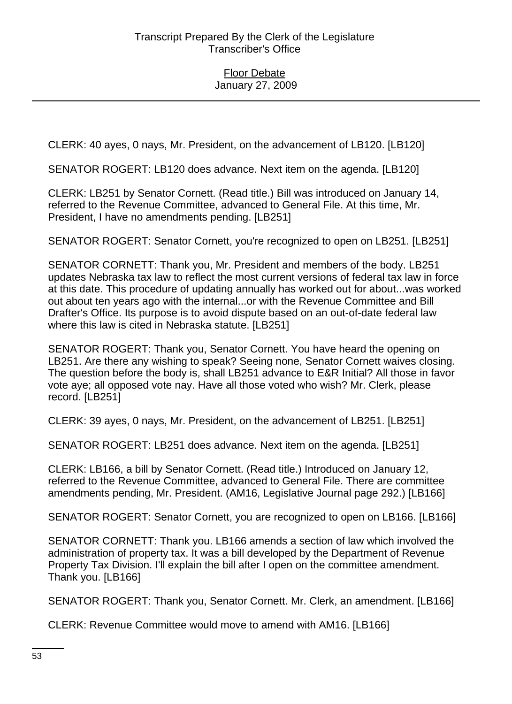CLERK: 40 ayes, 0 nays, Mr. President, on the advancement of LB120. [LB120]

SENATOR ROGERT: LB120 does advance. Next item on the agenda. [LB120]

CLERK: LB251 by Senator Cornett. (Read title.) Bill was introduced on January 14, referred to the Revenue Committee, advanced to General File. At this time, Mr. President, I have no amendments pending. [LB251]

SENATOR ROGERT: Senator Cornett, you're recognized to open on LB251. [LB251]

SENATOR CORNETT: Thank you, Mr. President and members of the body. LB251 updates Nebraska tax law to reflect the most current versions of federal tax law in force at this date. This procedure of updating annually has worked out for about...was worked out about ten years ago with the internal...or with the Revenue Committee and Bill Drafter's Office. Its purpose is to avoid dispute based on an out-of-date federal law where this law is cited in Nebraska statute. [LB251]

SENATOR ROGERT: Thank you, Senator Cornett. You have heard the opening on LB251. Are there any wishing to speak? Seeing none, Senator Cornett waives closing. The question before the body is, shall LB251 advance to E&R Initial? All those in favor vote aye; all opposed vote nay. Have all those voted who wish? Mr. Clerk, please record. [LB251]

CLERK: 39 ayes, 0 nays, Mr. President, on the advancement of LB251. [LB251]

SENATOR ROGERT: LB251 does advance. Next item on the agenda. [LB251]

CLERK: LB166, a bill by Senator Cornett. (Read title.) Introduced on January 12, referred to the Revenue Committee, advanced to General File. There are committee amendments pending, Mr. President. (AM16, Legislative Journal page 292.) [LB166]

SENATOR ROGERT: Senator Cornett, you are recognized to open on LB166. [LB166]

SENATOR CORNETT: Thank you. LB166 amends a section of law which involved the administration of property tax. It was a bill developed by the Department of Revenue Property Tax Division. I'll explain the bill after I open on the committee amendment. Thank you. [LB166]

SENATOR ROGERT: Thank you, Senator Cornett. Mr. Clerk, an amendment. [LB166]

CLERK: Revenue Committee would move to amend with AM16. [LB166]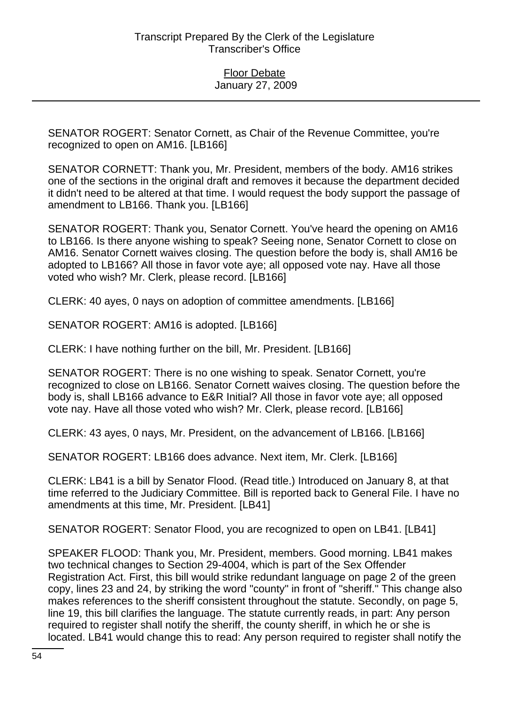SENATOR ROGERT: Senator Cornett, as Chair of the Revenue Committee, you're recognized to open on AM16. [LB166]

SENATOR CORNETT: Thank you, Mr. President, members of the body. AM16 strikes one of the sections in the original draft and removes it because the department decided it didn't need to be altered at that time. I would request the body support the passage of amendment to LB166. Thank you. [LB166]

SENATOR ROGERT: Thank you, Senator Cornett. You've heard the opening on AM16 to LB166. Is there anyone wishing to speak? Seeing none, Senator Cornett to close on AM16. Senator Cornett waives closing. The question before the body is, shall AM16 be adopted to LB166? All those in favor vote aye; all opposed vote nay. Have all those voted who wish? Mr. Clerk, please record. [LB166]

CLERK: 40 ayes, 0 nays on adoption of committee amendments. [LB166]

SENATOR ROGERT: AM16 is adopted. [LB166]

CLERK: I have nothing further on the bill, Mr. President. [LB166]

SENATOR ROGERT: There is no one wishing to speak. Senator Cornett, you're recognized to close on LB166. Senator Cornett waives closing. The question before the body is, shall LB166 advance to E&R Initial? All those in favor vote aye; all opposed vote nay. Have all those voted who wish? Mr. Clerk, please record. [LB166]

CLERK: 43 ayes, 0 nays, Mr. President, on the advancement of LB166. [LB166]

SENATOR ROGERT: LB166 does advance. Next item, Mr. Clerk. [LB166]

CLERK: LB41 is a bill by Senator Flood. (Read title.) Introduced on January 8, at that time referred to the Judiciary Committee. Bill is reported back to General File. I have no amendments at this time, Mr. President. [LB41]

SENATOR ROGERT: Senator Flood, you are recognized to open on LB41. [LB41]

SPEAKER FLOOD: Thank you, Mr. President, members. Good morning. LB41 makes two technical changes to Section 29-4004, which is part of the Sex Offender Registration Act. First, this bill would strike redundant language on page 2 of the green copy, lines 23 and 24, by striking the word "county" in front of "sheriff." This change also makes references to the sheriff consistent throughout the statute. Secondly, on page 5, line 19, this bill clarifies the language. The statute currently reads, in part: Any person required to register shall notify the sheriff, the county sheriff, in which he or she is located. LB41 would change this to read: Any person required to register shall notify the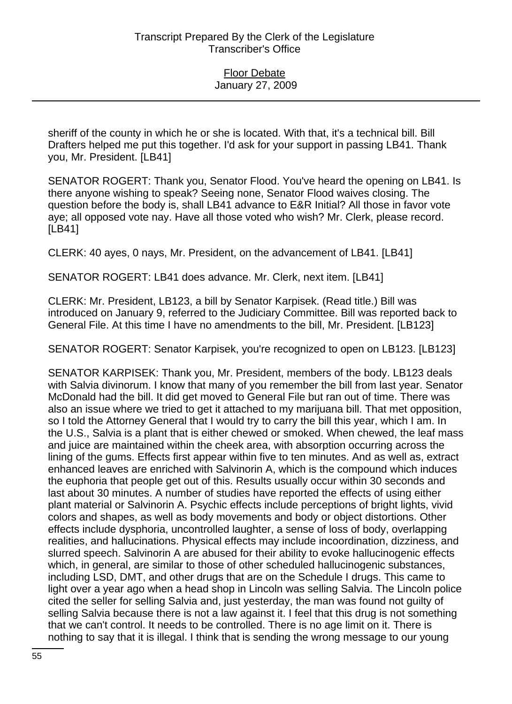sheriff of the county in which he or she is located. With that, it's a technical bill. Bill Drafters helped me put this together. I'd ask for your support in passing LB41. Thank you, Mr. President. [LB41]

SENATOR ROGERT: Thank you, Senator Flood. You've heard the opening on LB41. Is there anyone wishing to speak? Seeing none, Senator Flood waives closing. The question before the body is, shall LB41 advance to E&R Initial? All those in favor vote aye; all opposed vote nay. Have all those voted who wish? Mr. Clerk, please record. [LB41]

CLERK: 40 ayes, 0 nays, Mr. President, on the advancement of LB41. [LB41]

SENATOR ROGERT: LB41 does advance. Mr. Clerk, next item. [LB41]

CLERK: Mr. President, LB123, a bill by Senator Karpisek. (Read title.) Bill was introduced on January 9, referred to the Judiciary Committee. Bill was reported back to General File. At this time I have no amendments to the bill, Mr. President. [LB123]

SENATOR ROGERT: Senator Karpisek, you're recognized to open on LB123. [LB123]

SENATOR KARPISEK: Thank you, Mr. President, members of the body. LB123 deals with Salvia divinorum. I know that many of you remember the bill from last year. Senator McDonald had the bill. It did get moved to General File but ran out of time. There was also an issue where we tried to get it attached to my marijuana bill. That met opposition, so I told the Attorney General that I would try to carry the bill this year, which I am. In the U.S., Salvia is a plant that is either chewed or smoked. When chewed, the leaf mass and juice are maintained within the cheek area, with absorption occurring across the lining of the gums. Effects first appear within five to ten minutes. And as well as, extract enhanced leaves are enriched with Salvinorin A, which is the compound which induces the euphoria that people get out of this. Results usually occur within 30 seconds and last about 30 minutes. A number of studies have reported the effects of using either plant material or Salvinorin A. Psychic effects include perceptions of bright lights, vivid colors and shapes, as well as body movements and body or object distortions. Other effects include dysphoria, uncontrolled laughter, a sense of loss of body, overlapping realities, and hallucinations. Physical effects may include incoordination, dizziness, and slurred speech. Salvinorin A are abused for their ability to evoke hallucinogenic effects which, in general, are similar to those of other scheduled hallucinogenic substances, including LSD, DMT, and other drugs that are on the Schedule I drugs. This came to light over a year ago when a head shop in Lincoln was selling Salvia. The Lincoln police cited the seller for selling Salvia and, just yesterday, the man was found not guilty of selling Salvia because there is not a law against it. I feel that this drug is not something that we can't control. It needs to be controlled. There is no age limit on it. There is nothing to say that it is illegal. I think that is sending the wrong message to our young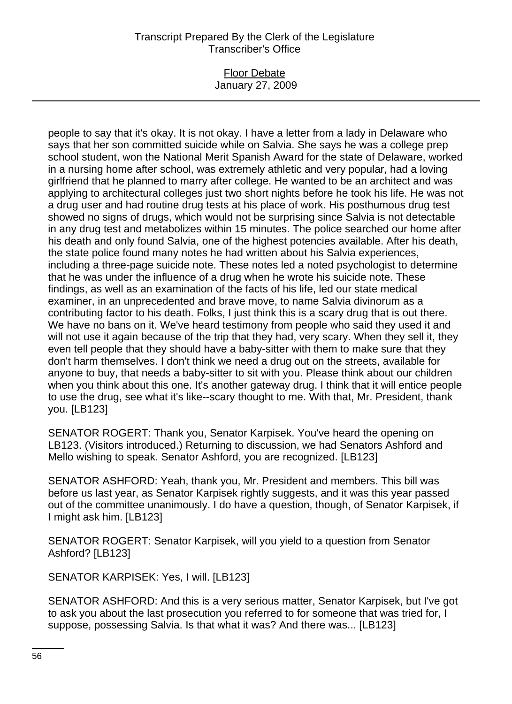#### Floor Debate January 27, 2009

people to say that it's okay. It is not okay. I have a letter from a lady in Delaware who says that her son committed suicide while on Salvia. She says he was a college prep school student, won the National Merit Spanish Award for the state of Delaware, worked in a nursing home after school, was extremely athletic and very popular, had a loving girlfriend that he planned to marry after college. He wanted to be an architect and was applying to architectural colleges just two short nights before he took his life. He was not a drug user and had routine drug tests at his place of work. His posthumous drug test showed no signs of drugs, which would not be surprising since Salvia is not detectable in any drug test and metabolizes within 15 minutes. The police searched our home after his death and only found Salvia, one of the highest potencies available. After his death, the state police found many notes he had written about his Salvia experiences, including a three-page suicide note. These notes led a noted psychologist to determine that he was under the influence of a drug when he wrote his suicide note. These findings, as well as an examination of the facts of his life, led our state medical examiner, in an unprecedented and brave move, to name Salvia divinorum as a contributing factor to his death. Folks, I just think this is a scary drug that is out there. We have no bans on it. We've heard testimony from people who said they used it and will not use it again because of the trip that they had, very scary. When they sell it, they even tell people that they should have a baby-sitter with them to make sure that they don't harm themselves. I don't think we need a drug out on the streets, available for anyone to buy, that needs a baby-sitter to sit with you. Please think about our children when you think about this one. It's another gateway drug. I think that it will entice people to use the drug, see what it's like--scary thought to me. With that, Mr. President, thank you. [LB123]

SENATOR ROGERT: Thank you, Senator Karpisek. You've heard the opening on LB123. (Visitors introduced.) Returning to discussion, we had Senators Ashford and Mello wishing to speak. Senator Ashford, you are recognized. [LB123]

SENATOR ASHFORD: Yeah, thank you, Mr. President and members. This bill was before us last year, as Senator Karpisek rightly suggests, and it was this year passed out of the committee unanimously. I do have a question, though, of Senator Karpisek, if I might ask him. [LB123]

SENATOR ROGERT: Senator Karpisek, will you yield to a question from Senator Ashford? [LB123]

SENATOR KARPISEK: Yes, I will. [LB123]

SENATOR ASHFORD: And this is a very serious matter, Senator Karpisek, but I've got to ask you about the last prosecution you referred to for someone that was tried for, I suppose, possessing Salvia. Is that what it was? And there was... [LB123]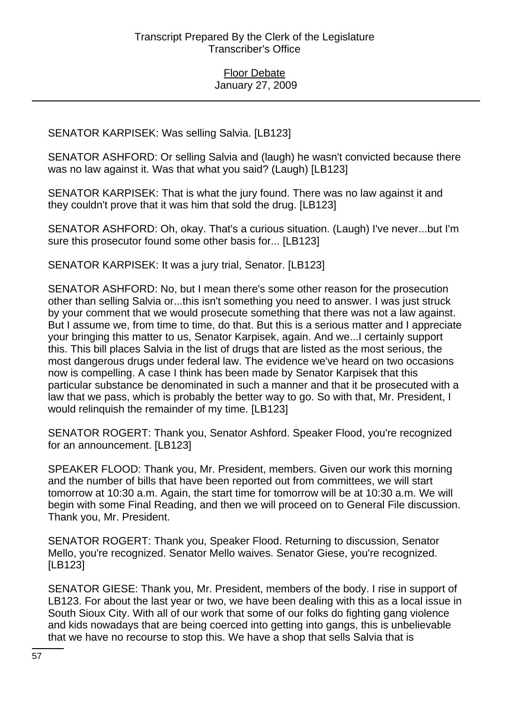# SENATOR KARPISEK: Was selling Salvia. [LB123]

SENATOR ASHFORD: Or selling Salvia and (laugh) he wasn't convicted because there was no law against it. Was that what you said? (Laugh) [LB123]

SENATOR KARPISEK: That is what the jury found. There was no law against it and they couldn't prove that it was him that sold the drug. [LB123]

SENATOR ASHFORD: Oh, okay. That's a curious situation. (Laugh) I've never...but I'm sure this prosecutor found some other basis for... [LB123]

SENATOR KARPISEK: It was a jury trial, Senator. [LB123]

SENATOR ASHFORD: No, but I mean there's some other reason for the prosecution other than selling Salvia or...this isn't something you need to answer. I was just struck by your comment that we would prosecute something that there was not a law against. But I assume we, from time to time, do that. But this is a serious matter and I appreciate your bringing this matter to us, Senator Karpisek, again. And we...I certainly support this. This bill places Salvia in the list of drugs that are listed as the most serious, the most dangerous drugs under federal law. The evidence we've heard on two occasions now is compelling. A case I think has been made by Senator Karpisek that this particular substance be denominated in such a manner and that it be prosecuted with a law that we pass, which is probably the better way to go. So with that, Mr. President, I would relinquish the remainder of my time. [LB123]

SENATOR ROGERT: Thank you, Senator Ashford. Speaker Flood, you're recognized for an announcement. [LB123]

SPEAKER FLOOD: Thank you, Mr. President, members. Given our work this morning and the number of bills that have been reported out from committees, we will start tomorrow at 10:30 a.m. Again, the start time for tomorrow will be at 10:30 a.m. We will begin with some Final Reading, and then we will proceed on to General File discussion. Thank you, Mr. President.

SENATOR ROGERT: Thank you, Speaker Flood. Returning to discussion, Senator Mello, you're recognized. Senator Mello waives. Senator Giese, you're recognized. [LB123]

SENATOR GIESE: Thank you, Mr. President, members of the body. I rise in support of LB123. For about the last year or two, we have been dealing with this as a local issue in South Sioux City. With all of our work that some of our folks do fighting gang violence and kids nowadays that are being coerced into getting into gangs, this is unbelievable that we have no recourse to stop this. We have a shop that sells Salvia that is